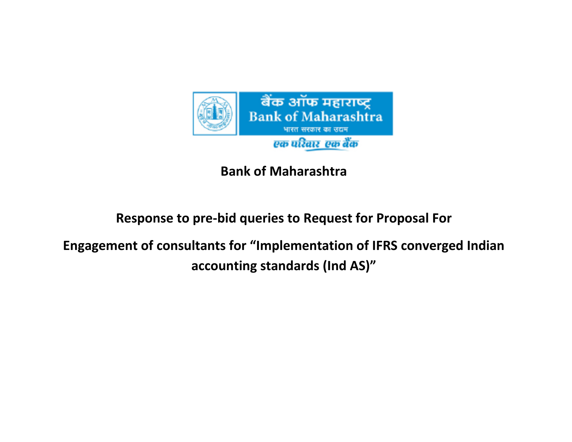

## **Bank of Maharashtra**

# **Response to pre-bid queries to Request for Proposal For**

**Engagement of consultants for "Implementation of IFRS converged Indian accounting standards (Ind AS)"**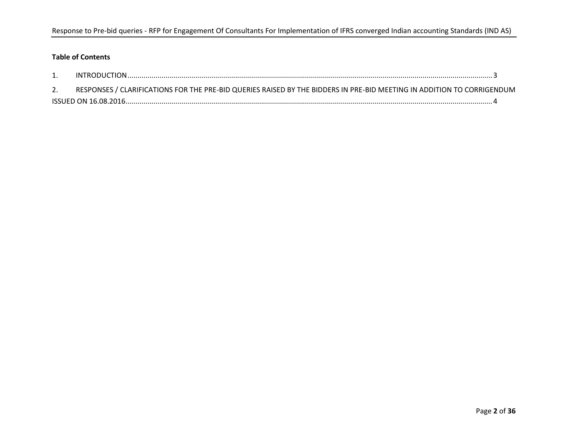### **Table of Contents**

| RESPONSES / CLARIFICATIONS FOR THE PRE-BID QUERIES RAISED BY THE BIDDERS IN PRE-BID MEETING IN ADDITION TO CORRIGENDUM |  |
|------------------------------------------------------------------------------------------------------------------------|--|
|                                                                                                                        |  |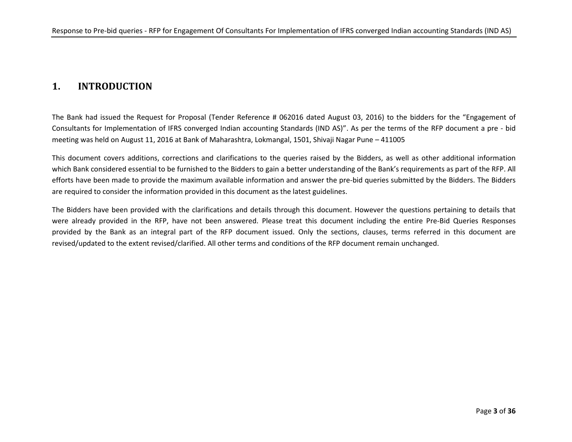## **1. INTRODUCTION**

The Bank had issued the Request for Proposal (Tender Reference # 062016 dated August 03, 2016) to the bidders for the "Engagement of Consultants for Implementation of IFRS converged Indian accounting Standards (IND AS)". As per the terms of the RFP document a pre - bid meeting was held on August 11, 2016 at Bank of Maharashtra, Lokmangal, 1501, Shivaji Nagar Pune – 411005

This document covers additions, corrections and clarifications to the queries raised by the Bidders, as well as other additional information which Bank considered essential to be furnished to the Bidders to gain a better understanding of the Bank's requirements as part of the RFP. All efforts have been made to provide the maximum available information and answer the pre-bid queries submitted by the Bidders. The Bidders are required to consider the information provided in this document as the latest guidelines.

The Bidders have been provided with the clarifications and details through this document. However the questions pertaining to details that were already provided in the RFP, have not been answered. Please treat this document including the entire Pre-Bid Queries Responses provided by the Bank as an integral part of the RFP document issued. Only the sections, clauses, terms referred in this document are revised/updated to the extent revised/clarified. All other terms and conditions of the RFP document remain unchanged.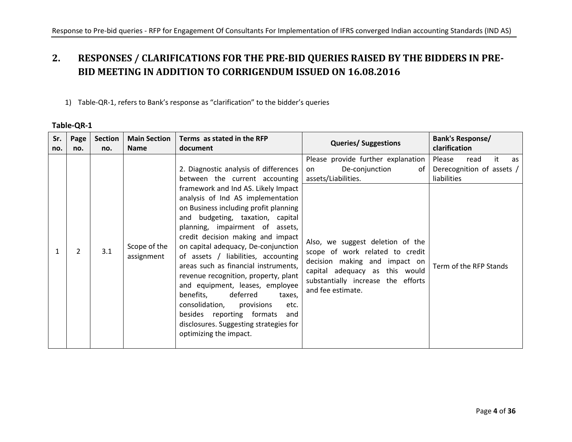## **2. RESPONSES / CLARIFICATIONS FOR THE PRE-BID QUERIES RAISED BY THE BIDDERS IN PRE-BID MEETING IN ADDITION TO CORRIGENDUM ISSUED ON 16.08.2016**

### 1) Table-QR-1, refers to Bank's response as "clarification" to the bidder's queries

#### **Table-QR-1**

| Sr.<br>no. | Page<br>no. | <b>Section</b><br>no. | <b>Main Section</b><br><b>Name</b> | Terms as stated in the RFP<br>document                                                                                                                                                                                                                                                                                                                                                                                                                | <b>Queries/ Suggestions</b>                                                                                                                                                                       | Bank's Response/<br>clarification                                      |
|------------|-------------|-----------------------|------------------------------------|-------------------------------------------------------------------------------------------------------------------------------------------------------------------------------------------------------------------------------------------------------------------------------------------------------------------------------------------------------------------------------------------------------------------------------------------------------|---------------------------------------------------------------------------------------------------------------------------------------------------------------------------------------------------|------------------------------------------------------------------------|
|            |             |                       |                                    | 2. Diagnostic analysis of differences<br>between the current accounting<br>framework and Ind AS. Likely Impact<br>analysis of Ind AS implementation<br>on Business including profit planning<br>and budgeting, taxation, capital                                                                                                                                                                                                                      | Please provide further explanation<br>De-conjunction<br>of<br>on<br>assets/Liabilities.                                                                                                           | Please<br>read<br>it<br>as<br>Derecognition of assets /<br>liabilities |
|            | 2           | 3.1                   | Scope of the<br>assignment         | planning, impairment of assets,<br>credit decision making and impact<br>on capital adequacy, De-conjunction<br>of assets / liabilities, accounting<br>areas such as financial instruments,<br>revenue recognition, property, plant<br>and equipment, leases, employee<br>benefits,<br>deferred<br>taxes,<br>consolidation, provisions<br>etc.<br>besides reporting formats<br>and<br>disclosures. Suggesting strategies for<br>optimizing the impact. | Also, we suggest deletion of the<br>scope of work related to credit<br>decision making and impact on<br>capital adequacy as this would<br>substantially increase the efforts<br>and fee estimate. | Term of the RFP Stands                                                 |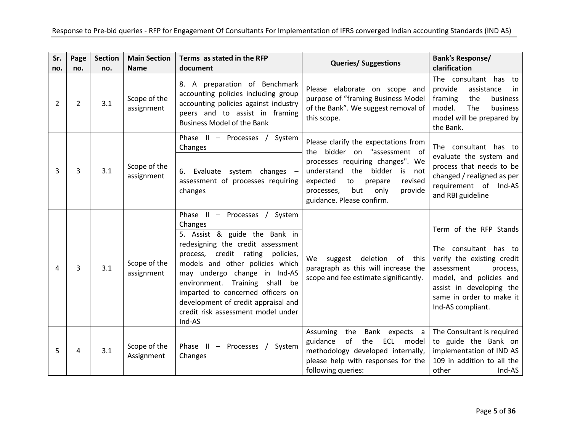| Sr.<br>no. | Page<br>no.    | <b>Section</b><br>no. | <b>Main Section</b><br><b>Name</b> | Terms as stated in the RFP<br>document                                                                                                                                                                                                                                                                                                                                                 | <b>Queries/ Suggestions</b>                                                                                                                                                                                                                              | <b>Bank's Response/</b><br>clarification                                                                                                                                                                        |
|------------|----------------|-----------------------|------------------------------------|----------------------------------------------------------------------------------------------------------------------------------------------------------------------------------------------------------------------------------------------------------------------------------------------------------------------------------------------------------------------------------------|----------------------------------------------------------------------------------------------------------------------------------------------------------------------------------------------------------------------------------------------------------|-----------------------------------------------------------------------------------------------------------------------------------------------------------------------------------------------------------------|
| 2          | $\overline{2}$ | 3.1                   | Scope of the<br>assignment         | 8. A preparation of Benchmark<br>accounting policies including group<br>accounting policies against industry<br>peers and to assist in framing<br><b>Business Model of the Bank</b>                                                                                                                                                                                                    | Please elaborate on scope and<br>purpose of "framing Business Model<br>of the Bank". We suggest removal of<br>this scope.                                                                                                                                | The consultant has to<br>provide<br>assistance<br>in.<br>framing<br>the<br>business<br>model.<br>The<br>business<br>model will be prepared by<br>the Bank.                                                      |
| 3          | 3              | 3.1                   | Scope of the<br>assignment         | Phase II - Processes /<br>System<br>Changes<br>6. Evaluate system changes -<br>assessment of processes requiring<br>changes                                                                                                                                                                                                                                                            | Please clarify the expectations from<br>bidder on "assessment of<br>the<br>processes requiring changes". We<br>understand the bidder is not<br>expected<br>to<br>prepare<br>revised<br>but<br>only<br>provide<br>processes,<br>guidance. Please confirm. | The consultant has to<br>evaluate the system and<br>process that needs to be<br>changed / realigned as per<br>requirement of Ind-AS<br>and RBI guideline                                                        |
| 4          | 3              | 3.1                   | Scope of the<br>assignment         | Phase II - Processes / System<br>Changes<br>5. Assist & guide the Bank in<br>redesigning the credit assessment<br>process, credit rating policies,<br>models and other policies which<br>may undergo change in Ind-AS<br>environment. Training<br>shall be<br>imparted to concerned officers on<br>development of credit appraisal and<br>credit risk assessment model under<br>Ind-AS | We suggest deletion of this<br>paragraph as this will increase the<br>scope and fee estimate significantly.                                                                                                                                              | Term of the RFP Stands<br>The consultant has to<br>verify the existing credit<br>assessment<br>process,<br>model, and policies and<br>assist in developing the<br>same in order to make it<br>Ind-AS compliant. |
| 5          | 4              | 3.1                   | Scope of the<br>Assignment         | Phase II - Processes /<br>System<br>Changes                                                                                                                                                                                                                                                                                                                                            | Assuming the Bank expects a<br>guidance<br>of the<br>ECL<br>model<br>methodology developed internally,<br>please help with responses for the<br>following queries:                                                                                       | The Consultant is required<br>to guide the Bank on<br>implementation of IND AS<br>109 in addition to all the<br>other<br>Ind-AS                                                                                 |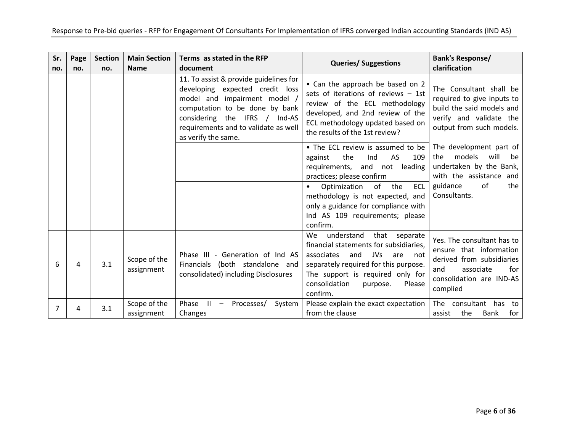| Sr.<br>no. | Page<br>no. | <b>Section</b><br>no. | <b>Main Section</b><br><b>Name</b> | Terms as stated in the RFP<br>document                                                                                                                                                                                                      | <b>Queries/ Suggestions</b>                                                                                                                                                                                                                               | <b>Bank's Response/</b><br>clarification                                                                                                              |
|------------|-------------|-----------------------|------------------------------------|---------------------------------------------------------------------------------------------------------------------------------------------------------------------------------------------------------------------------------------------|-----------------------------------------------------------------------------------------------------------------------------------------------------------------------------------------------------------------------------------------------------------|-------------------------------------------------------------------------------------------------------------------------------------------------------|
|            |             |                       |                                    | 11. To assist & provide guidelines for<br>developing expected credit loss<br>model and impairment model /<br>computation to be done by bank<br>considering the IFRS / Ind-AS<br>requirements and to validate as well<br>as verify the same. | • Can the approach be based on 2<br>sets of iterations of reviews $-$ 1st<br>review of the ECL methodology<br>developed, and 2nd review of the<br>ECL methodology updated based on<br>the results of the 1st review?                                      | The Consultant shall be<br>required to give inputs to<br>build the said models and<br>verify and validate the<br>output from such models.             |
|            |             |                       |                                    |                                                                                                                                                                                                                                             | • The ECL review is assumed to be<br>AS<br>the<br>109<br>Ind<br>against<br>not leading<br>requirements, and<br>practices; please confirm                                                                                                                  | The development part of<br>models<br>will<br>the<br>be<br>undertaken by the Bank,<br>with the assistance and                                          |
|            |             |                       |                                    |                                                                                                                                                                                                                                             | of the<br><b>ECL</b><br>Optimization<br>methodology is not expected, and<br>only a guidance for compliance with<br>Ind AS 109 requirements; please<br>confirm.                                                                                            | guidance<br>of<br>the<br>Consultants.                                                                                                                 |
| 6          | 4           | 3.1                   | Scope of the<br>assignment         | Phase III - Generation of Ind AS<br>Financials (both standalone and<br>consolidated) including Disclosures                                                                                                                                  | understand that separate<br><b>We</b><br>financial statements for subsidiaries.<br>associates<br>and<br>JVs<br>are<br>not<br>separately required for this purpose.<br>The support is required only for<br>consolidation<br>purpose.<br>Please<br>confirm. | Yes. The consultant has to<br>ensure that information<br>derived from subsidiaries<br>associate<br>and<br>for<br>consolidation are IND-AS<br>complied |
| 7          |             | 3.1                   | Scope of the<br>assignment         | Phase<br>$\mathbf{H}$<br>Processes/<br>System<br>$\overline{\phantom{m}}$<br>Changes                                                                                                                                                        | Please explain the exact expectation<br>from the clause                                                                                                                                                                                                   | The consultant has to<br>the<br>assist<br>Bank<br>for                                                                                                 |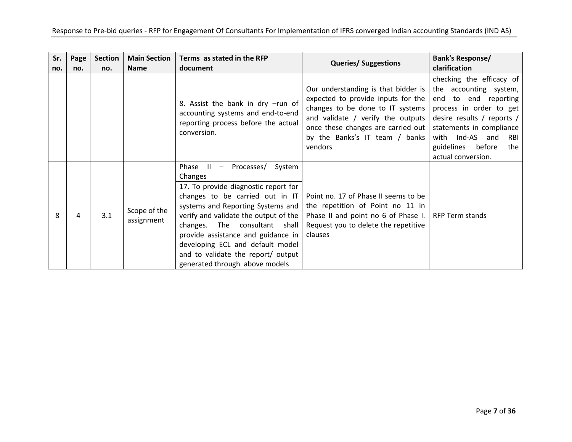| Sr.<br>no. | Page<br>no. | <b>Section</b><br>no. | <b>Main Section</b><br><b>Name</b> | Terms as stated in the RFP<br>document                                                                                                                                                                                                                                                                                                                                                      | <b>Queries/ Suggestions</b>                                                                                                                                                                                                           | Bank's Response/<br>clarification                                                                                                                                                                                                              |
|------------|-------------|-----------------------|------------------------------------|---------------------------------------------------------------------------------------------------------------------------------------------------------------------------------------------------------------------------------------------------------------------------------------------------------------------------------------------------------------------------------------------|---------------------------------------------------------------------------------------------------------------------------------------------------------------------------------------------------------------------------------------|------------------------------------------------------------------------------------------------------------------------------------------------------------------------------------------------------------------------------------------------|
|            |             |                       |                                    | 8. Assist the bank in dry -run of<br>accounting systems and end-to-end<br>reporting process before the actual<br>conversion.                                                                                                                                                                                                                                                                | Our understanding is that bidder is<br>expected to provide inputs for the<br>changes to be done to IT systems<br>and validate / verify the outputs<br>once these changes are carried out<br>by the Banks's IT team / banks<br>vendors | checking the efficacy of<br>the accounting system,<br>end to end reporting<br>process in order to get<br>desire results / reports /<br>statements in compliance<br>with Ind-AS and<br>RBI<br>guidelines<br>before<br>the<br>actual conversion. |
| 8          | 4           | 3.1                   | Scope of the<br>assignment         | Phase $II -$<br>Processes/<br>System<br>Changes<br>17. To provide diagnostic report for<br>changes to be carried out in IT<br>systems and Reporting Systems and<br>verify and validate the output of the<br>changes. The consultant shall<br>provide assistance and guidance in<br>developing ECL and default model<br>and to validate the report/ output<br>generated through above models | Point no. 17 of Phase II seems to be<br>the repetition of Point no 11 in<br>Phase II and point no 6 of Phase I.<br>Request you to delete the repetitive<br>clauses                                                                    | RFP Term stands                                                                                                                                                                                                                                |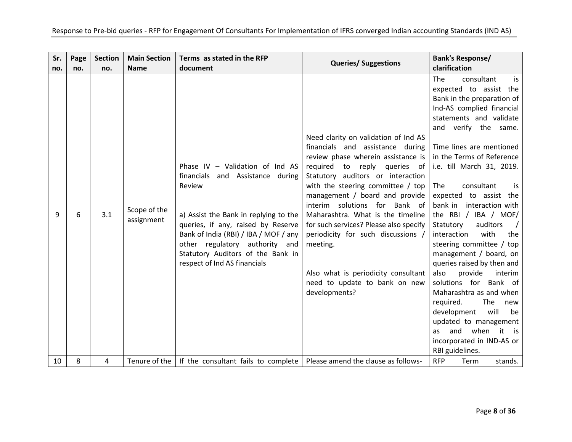| Sr.<br>no. | Page<br>no. | <b>Section</b><br>no. | <b>Main Section</b><br><b>Name</b> | Terms as stated in the RFP<br>document                                                                                                                                                                                                                                                                         | <b>Queries/ Suggestions</b>                                                                                                                                                                                                                                                                                                                                                                                                                                                                                              | <b>Bank's Response/</b><br>clarification                                                                                                                                                                                                                                                                                                                                                                                                                                                                                                                                                                                                                                                                                                                          |
|------------|-------------|-----------------------|------------------------------------|----------------------------------------------------------------------------------------------------------------------------------------------------------------------------------------------------------------------------------------------------------------------------------------------------------------|--------------------------------------------------------------------------------------------------------------------------------------------------------------------------------------------------------------------------------------------------------------------------------------------------------------------------------------------------------------------------------------------------------------------------------------------------------------------------------------------------------------------------|-------------------------------------------------------------------------------------------------------------------------------------------------------------------------------------------------------------------------------------------------------------------------------------------------------------------------------------------------------------------------------------------------------------------------------------------------------------------------------------------------------------------------------------------------------------------------------------------------------------------------------------------------------------------------------------------------------------------------------------------------------------------|
| 9          | 6           | 3.1                   | Scope of the<br>assignment         | Phase IV $-$ Validation of Ind AS<br>financials and Assistance during<br>Review<br>a) Assist the Bank in replying to the<br>queries, if any, raised by Reserve<br>Bank of India (RBI) / IBA / MOF / any<br>other regulatory authority and<br>Statutory Auditors of the Bank in<br>respect of Ind AS financials | Need clarity on validation of Ind AS<br>financials and assistance during<br>review phase wherein assistance is<br>required<br>to reply queries of<br>Statutory auditors or interaction<br>with the steering committee / top<br>management / board and provide<br>interim solutions for Bank of<br>Maharashtra. What is the timeline<br>for such services? Please also specify<br>periodicity for such discussions /<br>meeting.<br>Also what is periodicity consultant<br>need to update to bank on new<br>developments? | consultant<br><b>The</b><br>is<br>expected to assist the<br>Bank in the preparation of<br>Ind-AS complied financial<br>statements and validate<br>and verify the same.<br>Time lines are mentioned<br>in the Terms of Reference<br>i.e. till March 31, 2019.<br>The<br>consultant<br>is<br>expected to assist the<br>bank in<br>interaction with<br>the RBI / IBA / MOF/<br>auditors<br>Statutory<br>interaction<br>with<br>the<br>steering committee / top<br>management / board, on<br>queries raised by then and<br>also<br>provide<br>interim<br>solutions for Bank of<br>Maharashtra as and when<br>required.<br>The<br>new<br>will<br>development<br>be<br>updated to management<br>when it is<br>and<br>as<br>incorporated in IND-AS or<br>RBI guidelines. |
| 10         | 8           | 4                     |                                    | Tenure of the   If the consultant fails to complete   Please amend the clause as follows-                                                                                                                                                                                                                      |                                                                                                                                                                                                                                                                                                                                                                                                                                                                                                                          | <b>RFP</b><br>Term<br>stands.                                                                                                                                                                                                                                                                                                                                                                                                                                                                                                                                                                                                                                                                                                                                     |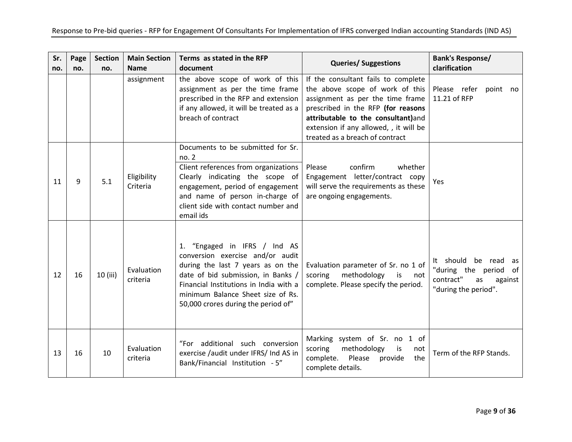| Sr.<br>no. | Page<br>no. | <b>Section</b><br>no. | <b>Main Section</b><br><b>Name</b> | Terms as stated in the RFP<br>document                                                                                                                                                                                                                            | <b>Queries/ Suggestions</b>                                                                                                                                                                                                                                         | <b>Bank's Response/</b><br>clarification                                                                  |
|------------|-------------|-----------------------|------------------------------------|-------------------------------------------------------------------------------------------------------------------------------------------------------------------------------------------------------------------------------------------------------------------|---------------------------------------------------------------------------------------------------------------------------------------------------------------------------------------------------------------------------------------------------------------------|-----------------------------------------------------------------------------------------------------------|
|            |             |                       | assignment                         | the above scope of work of this<br>assignment as per the time frame<br>prescribed in the RFP and extension<br>if any allowed, it will be treated as a<br>breach of contract                                                                                       | If the consultant fails to complete<br>the above scope of work of this<br>assignment as per the time frame<br>prescribed in the RFP (for reasons<br>attributable to the consultant)and<br>extension if any allowed, , it will be<br>treated as a breach of contract | Please refer<br>point no<br>11.21 of RFP                                                                  |
| 11         | 9           | 5.1                   | Eligibility<br>Criteria            | Documents to be submitted for Sr.<br>no. 2<br>Client references from organizations<br>Clearly indicating the scope of<br>engagement, period of engagement<br>and name of person in-charge of<br>client side with contact number and<br>email ids                  | confirm<br>Please<br>whether<br>Engagement letter/contract copy<br>will serve the requirements as these<br>are ongoing engagements.                                                                                                                                 | Yes                                                                                                       |
| 12         | 16          | 10 (iii)              | Evaluation<br>criteria             | 1. "Engaged in IFRS / Ind AS<br>conversion exercise and/or audit<br>during the last 7 years as on the<br>date of bid submission, in Banks /<br>Financial Institutions in India with a<br>minimum Balance Sheet size of Rs.<br>50,000 crores during the period of" | Evaluation parameter of Sr. no 1 of<br>methodology<br>scoring<br>is<br>not<br>complete. Please specify the period.                                                                                                                                                  | It should<br>be read as<br>"during the period<br>of<br>contract"<br>as<br>against<br>"during the period". |
| 13         | 16          | 10                    | Evaluation<br>criteria             | "For additional such conversion<br>exercise /audit under IFRS/ Ind AS in<br>Bank/Financial Institution - 5"                                                                                                                                                       | Marking system of Sr. no 1 of<br>scoring<br>methodology<br>is<br>not<br>complete. Please<br>provide<br>the<br>complete details.                                                                                                                                     | Term of the RFP Stands.                                                                                   |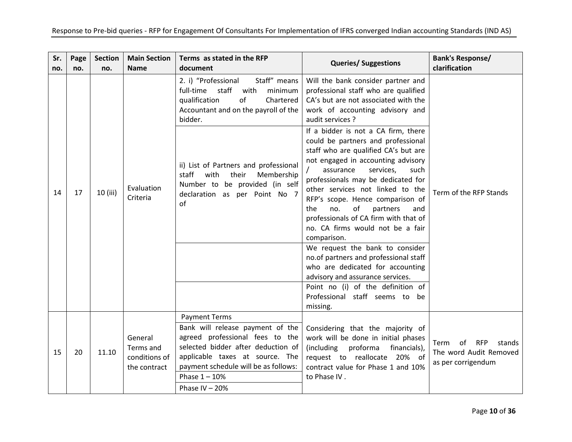| Sr.<br>no. | Page<br>no. | <b>Section</b><br>no. | <b>Main Section</b><br><b>Name</b>                    | Terms as stated in the RFP<br>document                                                                                                                              | <b>Queries/ Suggestions</b>                                                                                                                                                                                                                                                                                                                                                                                                                                                                                                                                | <b>Bank's Response/</b><br>clarification                                 |
|------------|-------------|-----------------------|-------------------------------------------------------|---------------------------------------------------------------------------------------------------------------------------------------------------------------------|------------------------------------------------------------------------------------------------------------------------------------------------------------------------------------------------------------------------------------------------------------------------------------------------------------------------------------------------------------------------------------------------------------------------------------------------------------------------------------------------------------------------------------------------------------|--------------------------------------------------------------------------|
|            |             |                       |                                                       | Staff" means<br>2. i) "Professional<br>staff<br>minimum<br>full-time<br>with<br>of<br>qualification<br>Chartered<br>Accountant and on the payroll of the<br>bidder. | Will the bank consider partner and<br>professional staff who are qualified<br>CA's but are not associated with the<br>work of accounting advisory and<br>audit services ?                                                                                                                                                                                                                                                                                                                                                                                  |                                                                          |
| 14         | 17          | 10 (iii)              | Evaluation<br>Criteria                                | ii) List of Partners and professional<br>staff<br>with<br>their<br>Membership<br>Number to be provided (in self<br>declaration as per Point No 7<br>of              | If a bidder is not a CA firm, there<br>could be partners and professional<br>staff who are qualified CA's but are<br>not engaged in accounting advisory<br>assurance<br>services,<br>such<br>professionals may be dedicated for<br>other services not linked to the<br>RFP's scope. Hence comparison of<br>of<br>the<br>no.<br>partners<br>and<br>professionals of CA firm with that of<br>no. CA firms would not be a fair<br>comparison.<br>We request the bank to consider<br>no.of partners and professional staff<br>who are dedicated for accounting | Term of the RFP Stands                                                   |
|            |             |                       |                                                       |                                                                                                                                                                     | advisory and assurance services.<br>Point no (i) of the definition of<br>Professional staff seems to be<br>missing.                                                                                                                                                                                                                                                                                                                                                                                                                                        |                                                                          |
|            |             |                       |                                                       | <b>Payment Terms</b><br>Bank will release payment of the                                                                                                            | Considering that the majority of                                                                                                                                                                                                                                                                                                                                                                                                                                                                                                                           |                                                                          |
| 15         | 20          | 11.10                 | General<br>Terms and<br>conditions of<br>the contract | agreed professional fees to the<br>selected bidder after deduction of<br>applicable taxes at source. The<br>payment schedule will be as follows:                    | work will be done in initial phases<br>(including<br>proforma<br>financials),<br>request to reallocate 20% of<br>contract value for Phase 1 and 10%                                                                                                                                                                                                                                                                                                                                                                                                        | of RFP<br>stands<br>Term<br>The word Audit Removed<br>as per corrigendum |
|            |             |                       |                                                       | Phase $1 - 10%$<br>Phase IV $-20%$                                                                                                                                  | to Phase IV.                                                                                                                                                                                                                                                                                                                                                                                                                                                                                                                                               |                                                                          |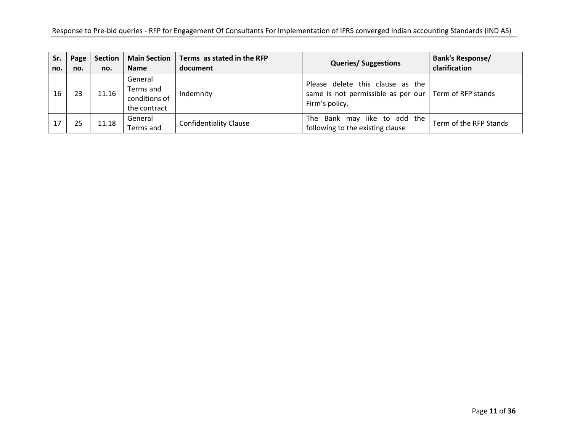| Sr.<br>no. | Page<br>no. | <b>Section</b><br>no. | <b>Main Section</b><br><b>Name</b>                    | Terms as stated in the RFP<br>document | <b>Queries/ Suggestions</b>                                                                                         | <b>Bank's Response/</b><br>clarification |
|------------|-------------|-----------------------|-------------------------------------------------------|----------------------------------------|---------------------------------------------------------------------------------------------------------------------|------------------------------------------|
| 16         |             | 11.16                 | General<br>Terms and<br>conditions of<br>the contract | Indemnity                              | Please delete this clause as the<br>same is not permissible as per our $\vert$ Term of RFP stands<br>Firm's policy. |                                          |
| 17         | 25          | 11.18                 | General<br>Terms and                                  | <b>Confidentiality Clause</b>          | like to add the<br>Bank may<br>The<br>following to the existing clause                                              | Term of the RFP Stands                   |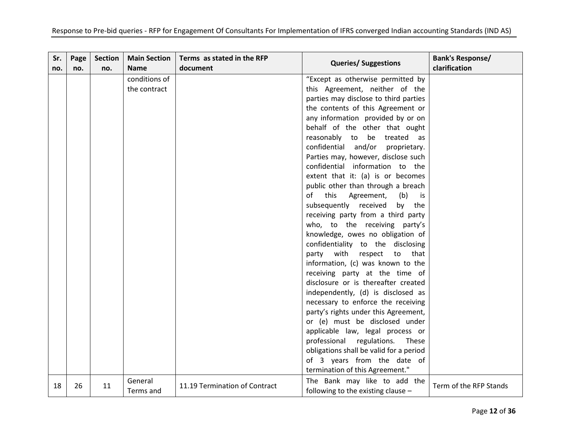| Sr.<br>no. | Page<br>no. | <b>Section</b><br>no. | <b>Main Section</b><br><b>Name</b> | Terms as stated in the RFP<br>document | <b>Queries/ Suggestions</b>                                          | <b>Bank's Response/</b><br>clarification |
|------------|-------------|-----------------------|------------------------------------|----------------------------------------|----------------------------------------------------------------------|------------------------------------------|
|            |             |                       | conditions of                      |                                        | "Except as otherwise permitted by                                    |                                          |
|            |             |                       | the contract                       |                                        | this Agreement, neither of the                                       |                                          |
|            |             |                       |                                    |                                        | parties may disclose to third parties                                |                                          |
|            |             |                       |                                    |                                        | the contents of this Agreement or                                    |                                          |
|            |             |                       |                                    |                                        | any information provided by or on                                    |                                          |
|            |             |                       |                                    |                                        | behalf of the other that ought                                       |                                          |
|            |             |                       |                                    |                                        | reasonably to be treated as                                          |                                          |
|            |             |                       |                                    |                                        | confidential and/or<br>proprietary.                                  |                                          |
|            |             |                       |                                    |                                        | Parties may, however, disclose such                                  |                                          |
|            |             |                       |                                    |                                        | confidential information to the                                      |                                          |
|            |             |                       |                                    |                                        | extent that it: (a) is or becomes                                    |                                          |
|            |             |                       |                                    |                                        | public other than through a breach                                   |                                          |
|            |             |                       |                                    |                                        | of<br>this<br>Agreement,<br>(b)<br>is                                |                                          |
|            |             |                       |                                    |                                        | subsequently received<br>by the                                      |                                          |
|            |             |                       |                                    |                                        | receiving party from a third party                                   |                                          |
|            |             |                       |                                    |                                        | who, to the receiving party's                                        |                                          |
|            |             |                       |                                    |                                        | knowledge, owes no obligation of                                     |                                          |
|            |             |                       |                                    |                                        | confidentiality to the disclosing                                    |                                          |
|            |             |                       |                                    |                                        | party<br>with<br>respect<br>to<br>that                               |                                          |
|            |             |                       |                                    |                                        | information, (c) was known to the                                    |                                          |
|            |             |                       |                                    |                                        | receiving party at the time of                                       |                                          |
|            |             |                       |                                    |                                        | disclosure or is thereafter created                                  |                                          |
|            |             |                       |                                    |                                        | independently, (d) is disclosed as                                   |                                          |
|            |             |                       |                                    |                                        | necessary to enforce the receiving                                   |                                          |
|            |             |                       |                                    |                                        | party's rights under this Agreement,                                 |                                          |
|            |             |                       |                                    |                                        | or (e) must be disclosed under                                       |                                          |
|            |             |                       |                                    |                                        | applicable law, legal process or                                     |                                          |
|            |             |                       |                                    |                                        | professional regulations.<br>These                                   |                                          |
|            |             |                       |                                    |                                        | obligations shall be valid for a period                              |                                          |
|            |             |                       |                                    |                                        | of 3 years from the date of                                          |                                          |
|            |             |                       |                                    |                                        | termination of this Agreement."                                      |                                          |
| 18         | 26          | 11                    | General<br>Terms and               | 11.19 Termination of Contract          | The Bank may like to add the<br>following to the existing clause $-$ | Term of the RFP Stands                   |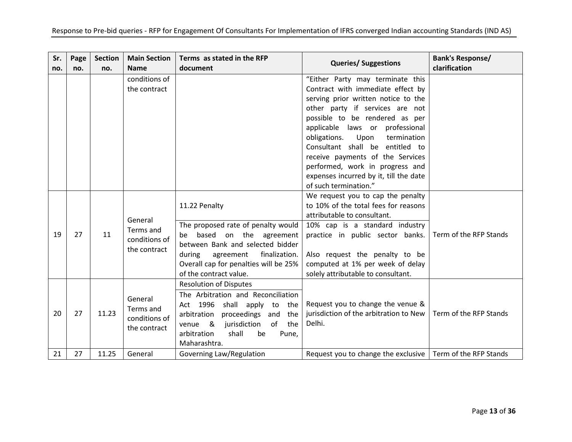| Sr.<br>no. | Page<br>no. | <b>Section</b><br>no. | <b>Main Section</b><br><b>Name</b>                    | Terms as stated in the RFP<br>document                                                                                                                                                                                                     | <b>Queries/ Suggestions</b>                                                                                                                                                                                                                                                                                                                                                                                                              | <b>Bank's Response/</b><br>clarification |
|------------|-------------|-----------------------|-------------------------------------------------------|--------------------------------------------------------------------------------------------------------------------------------------------------------------------------------------------------------------------------------------------|------------------------------------------------------------------------------------------------------------------------------------------------------------------------------------------------------------------------------------------------------------------------------------------------------------------------------------------------------------------------------------------------------------------------------------------|------------------------------------------|
|            |             |                       | conditions of<br>the contract                         |                                                                                                                                                                                                                                            | "Either Party may terminate this<br>Contract with immediate effect by<br>serving prior written notice to the<br>other party if services are not<br>possible to be rendered as per<br>applicable laws or professional<br>obligations.<br>Upon<br>termination<br>Consultant shall be entitled to<br>receive payments of the Services<br>performed, work in progress and<br>expenses incurred by it, till the date<br>of such termination." |                                          |
| 19         | 27          | 11                    | General<br>Terms and<br>conditions of<br>the contract | 11.22 Penalty<br>The proposed rate of penalty would<br>be based on the agreement<br>between Bank and selected bidder<br>finalization.<br>during<br>agreement<br>Overall cap for penalties will be 25%<br>of the contract value.            | We request you to cap the penalty<br>to 10% of the total fees for reasons<br>attributable to consultant.<br>10% cap is a standard industry<br>practice in public sector banks.<br>Also request the penalty to be<br>computed at 1% per week of delay<br>solely attributable to consultant.                                                                                                                                               | Term of the RFP Stands                   |
| 20         | 27          | 11.23                 | General<br>Terms and<br>conditions of<br>the contract | <b>Resolution of Disputes</b><br>The Arbitration and Reconciliation<br>Act 1996 shall apply to the<br>arbitration<br>proceedings and<br>the<br>of the<br>&<br>jurisdiction<br>venue<br>arbitration<br>shall<br>be<br>Pune,<br>Maharashtra. | Request you to change the venue &<br>jurisdiction of the arbitration to New<br>Delhi.                                                                                                                                                                                                                                                                                                                                                    | Term of the RFP Stands                   |
| 21         | 27          | 11.25                 | General                                               | Governing Law/Regulation                                                                                                                                                                                                                   | Request you to change the exclusive                                                                                                                                                                                                                                                                                                                                                                                                      | Term of the RFP Stands                   |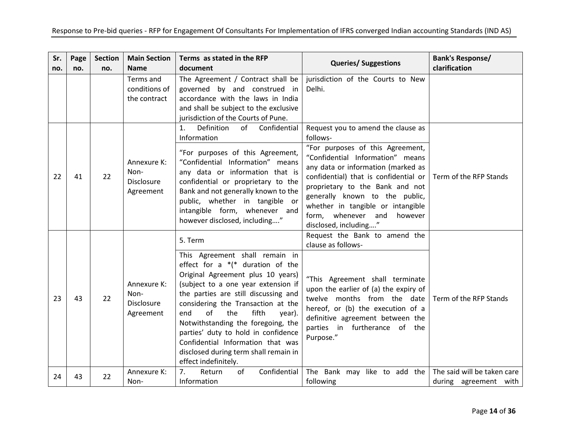| Sr. | Page | <b>Section</b> | <b>Main Section</b>                                   | Terms as stated in the RFP                                                                                                                                                                                                                                                                                                                                                                                                                                           | <b>Queries/ Suggestions</b>                                                                                                                                                                                                                                                                                                                                               | <b>Bank's Response/</b>                              |
|-----|------|----------------|-------------------------------------------------------|----------------------------------------------------------------------------------------------------------------------------------------------------------------------------------------------------------------------------------------------------------------------------------------------------------------------------------------------------------------------------------------------------------------------------------------------------------------------|---------------------------------------------------------------------------------------------------------------------------------------------------------------------------------------------------------------------------------------------------------------------------------------------------------------------------------------------------------------------------|------------------------------------------------------|
| no. | no.  | no.            | <b>Name</b>                                           | document                                                                                                                                                                                                                                                                                                                                                                                                                                                             |                                                                                                                                                                                                                                                                                                                                                                           | clarification                                        |
|     |      |                | Terms and<br>conditions of<br>the contract            | The Agreement / Contract shall be<br>governed by and construed in<br>accordance with the laws in India<br>and shall be subject to the exclusive<br>jurisdiction of the Courts of Pune.                                                                                                                                                                                                                                                                               | jurisdiction of the Courts to New<br>Delhi.                                                                                                                                                                                                                                                                                                                               |                                                      |
| 22  | 41   | 22             | Annexure K:<br>Non-<br><b>Disclosure</b><br>Agreement | Definition<br>Confidential<br>of<br>1.<br>Information<br>"For purposes of this Agreement,<br>"Confidential Information" means<br>any data or information that is<br>confidential or proprietary to the<br>Bank and not generally known to the<br>public, whether in tangible or<br>intangible form, whenever and<br>however disclosed, including"                                                                                                                    | Request you to amend the clause as<br>follows-<br>"For purposes of this Agreement,<br>"Confidential Information" means<br>any data or information (marked as<br>confidential) that is confidential or<br>proprietary to the Bank and not<br>generally known to the public,<br>whether in tangible or intangible<br>form, whenever and<br>however<br>disclosed, including" | Term of the RFP Stands                               |
| 23  | 43   | 22             | Annexure K:<br>Non-<br>Disclosure<br>Agreement        | 5. Term<br>This Agreement shall remain in<br>effect for a $*(*)$ duration of the<br>Original Agreement plus 10 years)<br>(subject to a one year extension if<br>the parties are still discussing and<br>considering the Transaction at the<br>of<br>fifth<br>end<br>the<br>year).<br>Notwithstanding the foregoing, the<br>parties' duty to hold in confidence<br>Confidential Information that was<br>disclosed during term shall remain in<br>effect indefinitely. | Request the Bank to amend the<br>clause as follows-<br>"This Agreement shall terminate<br>upon the earlier of (a) the expiry of<br>twelve months from the date<br>hereof, or (b) the execution of a<br>definitive agreement between the<br>parties in furtherance of the<br>Purpose."                                                                                     | Term of the RFP Stands                               |
| 24  | 43   | 22             | Annexure K:<br>Non-                                   | Confidential<br>7.<br>Return<br>of<br>Information                                                                                                                                                                                                                                                                                                                                                                                                                    | The Bank may like to add the<br>following                                                                                                                                                                                                                                                                                                                                 | The said will be taken care<br>during agreement with |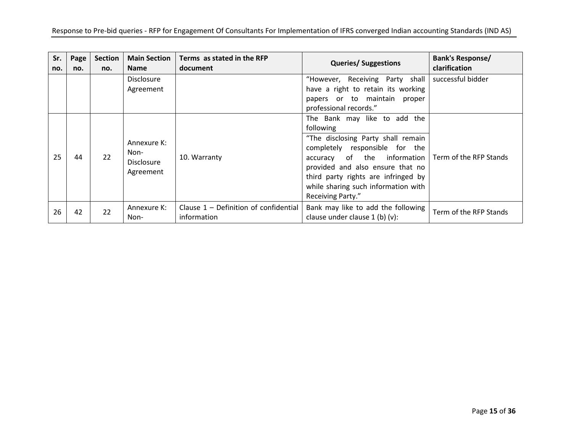| Sr.<br>no. | Page<br>no. | <b>Section</b><br>no. | <b>Main Section</b><br><b>Name</b>                    | Terms as stated in the RFP<br>document                 | <b>Queries/Suggestions</b>                                                                                                                                                                                                                                                              | <b>Bank's Response/</b><br>clarification |
|------------|-------------|-----------------------|-------------------------------------------------------|--------------------------------------------------------|-----------------------------------------------------------------------------------------------------------------------------------------------------------------------------------------------------------------------------------------------------------------------------------------|------------------------------------------|
|            |             |                       | <b>Disclosure</b><br>Agreement                        |                                                        | "However, Receiving Party shall<br>have a right to retain its working<br>papers or to maintain<br>proper<br>professional records."                                                                                                                                                      | successful bidder                        |
| 25         | 44          | 22                    | Annexure K:<br>Non-<br><b>Disclosure</b><br>Agreement | 10. Warranty                                           | The Bank may like to add the<br>following<br>"The disclosing Party shall remain<br>completely responsible for the<br>accuracy of the information<br>provided and also ensure that no<br>third party rights are infringed by<br>while sharing such information with<br>Receiving Party." | Term of the RFP Stands                   |
| 26         | 42          | 22                    | Annexure K:<br>Non-                                   | Clause $1$ – Definition of confidential<br>information | Bank may like to add the following<br>clause under clause 1 (b) (v):                                                                                                                                                                                                                    | Term of the RFP Stands                   |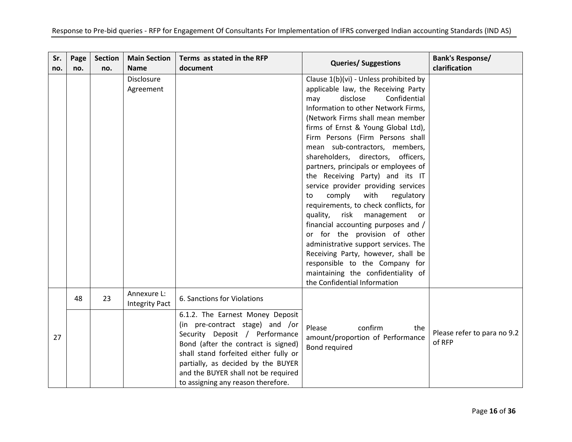| Sr.<br>no. | Page<br>no. | <b>Section</b><br>no. | <b>Main Section</b><br><b>Name</b>   | Terms as stated in the RFP<br>document                                                                                                                                                                                                                                                                   | <b>Queries/ Suggestions</b>                                                                                                                                                                                                                                                                                                                                                                                                                                                                                                                                                                                                                                                                                                                                                                                                                           | <b>Bank's Response/</b><br>clarification |
|------------|-------------|-----------------------|--------------------------------------|----------------------------------------------------------------------------------------------------------------------------------------------------------------------------------------------------------------------------------------------------------------------------------------------------------|-------------------------------------------------------------------------------------------------------------------------------------------------------------------------------------------------------------------------------------------------------------------------------------------------------------------------------------------------------------------------------------------------------------------------------------------------------------------------------------------------------------------------------------------------------------------------------------------------------------------------------------------------------------------------------------------------------------------------------------------------------------------------------------------------------------------------------------------------------|------------------------------------------|
|            |             |                       | <b>Disclosure</b><br>Agreement       |                                                                                                                                                                                                                                                                                                          | Clause 1(b)(vi) - Unless prohibited by<br>applicable law, the Receiving Party<br>Confidential<br>disclose<br>may<br>Information to other Network Firms,<br>(Network Firms shall mean member<br>firms of Ernst & Young Global Ltd),<br>Firm Persons (Firm Persons shall<br>mean sub-contractors, members,<br>shareholders, directors, officers,<br>partners, principals or employees of<br>the Receiving Party) and its IT<br>service provider providing services<br>comply<br>with<br>regulatory<br>to<br>requirements, to check conflicts, for<br>quality,<br>risk<br>management<br>or<br>financial accounting purposes and /<br>or for the provision of other<br>administrative support services. The<br>Receiving Party, however, shall be<br>responsible to the Company for<br>maintaining the confidentiality of<br>the Confidential Information |                                          |
|            | 48          | 23                    | Annexure L:<br><b>Integrity Pact</b> | 6. Sanctions for Violations                                                                                                                                                                                                                                                                              |                                                                                                                                                                                                                                                                                                                                                                                                                                                                                                                                                                                                                                                                                                                                                                                                                                                       |                                          |
| 27         |             |                       |                                      | 6.1.2. The Earnest Money Deposit<br>(in pre-contract stage) and /or<br>Security Deposit / Performance<br>Bond (after the contract is signed)<br>shall stand forfeited either fully or<br>partially, as decided by the BUYER<br>and the BUYER shall not be required<br>to assigning any reason therefore. | Please<br>confirm<br>the<br>amount/proportion of Performance<br><b>Bond required</b>                                                                                                                                                                                                                                                                                                                                                                                                                                                                                                                                                                                                                                                                                                                                                                  | Please refer to para no 9.2<br>of RFP    |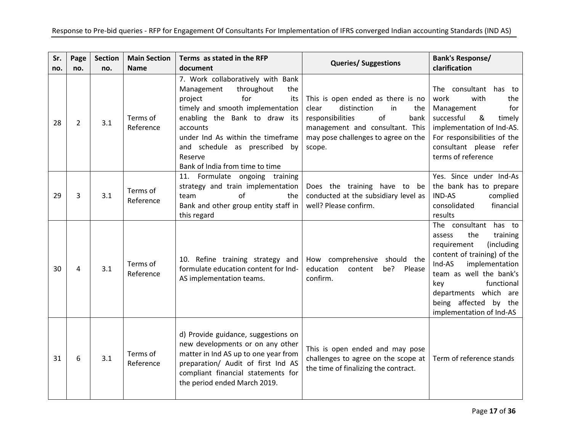| Sr.<br>no. | Page<br>no.    | <b>Section</b><br>no. | <b>Main Section</b><br><b>Name</b> | Terms as stated in the RFP<br>document                                                                                                                                                                                                                                                             | <b>Queries/ Suggestions</b>                                                                                                                                                                  | <b>Bank's Response/</b><br>clarification                                                                                                                                                                                                                                    |
|------------|----------------|-----------------------|------------------------------------|----------------------------------------------------------------------------------------------------------------------------------------------------------------------------------------------------------------------------------------------------------------------------------------------------|----------------------------------------------------------------------------------------------------------------------------------------------------------------------------------------------|-----------------------------------------------------------------------------------------------------------------------------------------------------------------------------------------------------------------------------------------------------------------------------|
| 28         | $\overline{2}$ | 3.1                   | Terms of<br>Reference              | 7. Work collaboratively with Bank<br>Management<br>throughout<br>the<br>project<br>for<br>its<br>timely and smooth implementation<br>enabling the Bank to draw its<br>accounts<br>under Ind As within the timeframe<br>and schedule as prescribed by<br>Reserve<br>Bank of India from time to time | This is open ended as there is no<br>clear<br>distinction<br>in<br>the<br>of<br>responsibilities<br>bank<br>management and consultant. This<br>may pose challenges to agree on the<br>scope. | The consultant has to<br>work<br>with<br>the<br>Management<br>for<br>successful<br>&<br>timely<br>implementation of Ind-AS.<br>For responsibilities of the<br>consultant please refer<br>terms of reference                                                                 |
| 29         | 3              | 3.1                   | Terms of<br>Reference              | 11. Formulate ongoing training<br>strategy and train implementation<br>team<br>Ωf<br>the<br>Bank and other group entity staff in<br>this regard                                                                                                                                                    | Does the training have to be<br>conducted at the subsidiary level as<br>well? Please confirm.                                                                                                | Yes. Since under Ind-As<br>the bank has to prepare<br><b>IND-AS</b><br>complied<br>financial<br>consolidated<br>results                                                                                                                                                     |
| 30         | 4              | 3.1                   | Terms of<br>Reference              | 10. Refine training strategy and<br>formulate education content for Ind-<br>AS implementation teams.                                                                                                                                                                                               | How comprehensive should the<br>be?<br>education<br>content<br>Please<br>confirm.                                                                                                            | The consultant<br>has to<br>the<br>training<br>assess<br>requirement<br>(including<br>content of training) of the<br>Ind-AS<br>implementation<br>team as well the bank's<br>functional<br>key<br>departments which are<br>being affected by the<br>implementation of Ind-AS |
| 31         | 6              | 3.1                   | Terms of<br>Reference              | d) Provide guidance, suggestions on<br>new developments or on any other<br>matter in Ind AS up to one year from<br>preparation/ Audit of first Ind AS<br>compliant financial statements for<br>the period ended March 2019.                                                                        | This is open ended and may pose<br>challenges to agree on the scope at<br>the time of finalizing the contract.                                                                               | Term of reference stands                                                                                                                                                                                                                                                    |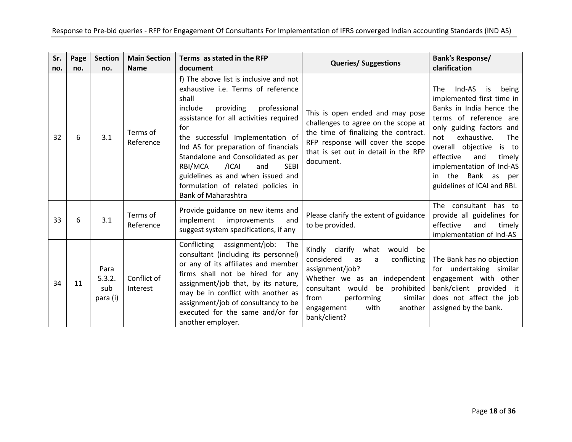| Sr.<br>no. | Page<br>no. | <b>Section</b><br>no.             | <b>Main Section</b><br><b>Name</b> | Terms as stated in the RFP<br>document                                                                                                                                                                                                                                                                                                                                                                                                              | <b>Queries/ Suggestions</b>                                                                                                                                                                                                                       | <b>Bank's Response/</b><br>clarification                                                                                                                                                                                                                                                                                       |
|------------|-------------|-----------------------------------|------------------------------------|-----------------------------------------------------------------------------------------------------------------------------------------------------------------------------------------------------------------------------------------------------------------------------------------------------------------------------------------------------------------------------------------------------------------------------------------------------|---------------------------------------------------------------------------------------------------------------------------------------------------------------------------------------------------------------------------------------------------|--------------------------------------------------------------------------------------------------------------------------------------------------------------------------------------------------------------------------------------------------------------------------------------------------------------------------------|
| 32         | 6           | 3.1                               | Terms of<br>Reference              | f) The above list is inclusive and not<br>exhaustive i.e. Terms of reference<br>shall<br>include<br>providing<br>professional<br>assistance for all activities required<br>for<br>the successful Implementation of<br>Ind AS for preparation of financials<br>Standalone and Consolidated as per<br>RBI/MCA<br>/ICAI<br><b>SEBI</b><br>and<br>guidelines as and when issued and<br>formulation of related policies in<br><b>Bank of Maharashtra</b> | This is open ended and may pose<br>challenges to agree on the scope at<br>the time of finalizing the contract.<br>RFP response will cover the scope<br>that is set out in detail in the RFP<br>document.                                          | Ind-AS<br>The<br>is<br>being<br>implemented first time in<br>Banks in India hence the<br>terms of reference are<br>only guiding factors and<br>exhaustive.<br>The<br>not<br>overall objective is to<br>effective<br>and<br>timely<br>implementation of Ind-AS<br>Bank<br>the<br>as<br>in<br>per<br>guidelines of ICAI and RBI. |
| 33         | 6           | 3.1                               | Terms of<br>Reference              | Provide guidance on new items and<br>implement<br>improvements<br>and<br>suggest system specifications, if any                                                                                                                                                                                                                                                                                                                                      | Please clarify the extent of guidance<br>to be provided.                                                                                                                                                                                          | The consultant has to<br>provide all guidelines for<br>effective<br>and<br>timelv<br>implementation of Ind-AS                                                                                                                                                                                                                  |
| 34         | 11          | Para<br>5.3.2.<br>sub<br>para (i) | Conflict of<br>Interest            | Conflicting<br>assignment/job:<br>The<br>consultant (including its personnel)<br>or any of its affiliates and member<br>firms shall not be hired for any<br>assignment/job that, by its nature,<br>may be in conflict with another as<br>assignment/job of consultancy to be<br>executed for the same and/or for<br>another employer.                                                                                                               | Kindly clarify what<br>would<br>be<br>considered<br>conflicting<br>as<br>a<br>assignment/job?<br>Whether we as an independent<br>consultant would be prohibited<br>performing<br>similar<br>from<br>engagement<br>another<br>with<br>bank/client? | The Bank has no objection<br>for undertaking similar<br>engagement with other<br>bank/client provided it<br>does not affect the job<br>assigned by the bank.                                                                                                                                                                   |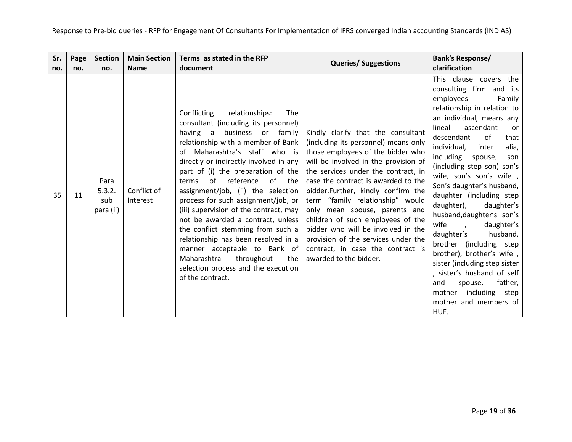| Sr. | Page | <b>Section</b>                     | <b>Main Section</b>     | Terms as stated in the RFP                                                                                                                                                                                                                                                                                                                                                                                                                                                                                                                                                                                                                                                      | <b>Queries/ Suggestions</b>                                                                                                                                                                                                                                                                                                                                                                                                                                                                                                       | <b>Bank's Response/</b>                                                                                                                                                                                                                                                                                                                                                                                                                                                                                                                                                                                                                                                                                                     |
|-----|------|------------------------------------|-------------------------|---------------------------------------------------------------------------------------------------------------------------------------------------------------------------------------------------------------------------------------------------------------------------------------------------------------------------------------------------------------------------------------------------------------------------------------------------------------------------------------------------------------------------------------------------------------------------------------------------------------------------------------------------------------------------------|-----------------------------------------------------------------------------------------------------------------------------------------------------------------------------------------------------------------------------------------------------------------------------------------------------------------------------------------------------------------------------------------------------------------------------------------------------------------------------------------------------------------------------------|-----------------------------------------------------------------------------------------------------------------------------------------------------------------------------------------------------------------------------------------------------------------------------------------------------------------------------------------------------------------------------------------------------------------------------------------------------------------------------------------------------------------------------------------------------------------------------------------------------------------------------------------------------------------------------------------------------------------------------|
| no. | no.  | no.                                | <b>Name</b>             | document                                                                                                                                                                                                                                                                                                                                                                                                                                                                                                                                                                                                                                                                        |                                                                                                                                                                                                                                                                                                                                                                                                                                                                                                                                   | clarification                                                                                                                                                                                                                                                                                                                                                                                                                                                                                                                                                                                                                                                                                                               |
| 35  | 11   | Para<br>5.3.2.<br>sub<br>para (ii) | Conflict of<br>Interest | relationships:<br>Conflicting<br>The<br>consultant (including its personnel)<br>having a<br>business or family<br>relationship with a member of Bank<br>of Maharashtra's staff who is<br>directly or indirectly involved in any<br>part of (i) the preparation of the<br>of reference<br>of the<br>terms<br>assignment/job, (ii) the selection<br>process for such assignment/job, or<br>(iii) supervision of the contract, may<br>not be awarded a contract, unless<br>the conflict stemming from such a<br>relationship has been resolved in a<br>manner acceptable to Bank of<br>Maharashtra<br>throughout<br>the<br>selection process and the execution<br>of the contract. | Kindly clarify that the consultant<br>(including its personnel) means only<br>those employees of the bidder who<br>will be involved in the provision of<br>the services under the contract, in<br>case the contract is awarded to the<br>bidder.Further, kindly confirm the<br>term "family relationship" would<br>only mean spouse, parents and<br>children of such employees of the<br>bidder who will be involved in the<br>provision of the services under the<br>contract, in case the contract is<br>awarded to the bidder. | This clause covers the<br>consulting firm and its<br>employees<br>Family<br>relationship in relation to<br>an individual, means any<br>ascendant<br>lineal<br>.or<br>descendant<br>of<br>that<br>individual,<br>alia,<br>inter<br>including<br>spouse,<br>son<br>(including step son) son's<br>wife, son's son's wife,<br>Son's daughter's husband,<br>daughter (including step<br>daughter),<br>daughter's<br>husband, daughter's son's<br>wife<br>daughter's<br>$\overline{ }$<br>daughter's<br>husband,<br>brother (including step<br>brother), brother's wife,<br>sister (including step sister<br>, sister's husband of self<br>father,<br>spouse,<br>and<br>including step<br>mother<br>mother and members of<br>HUF. |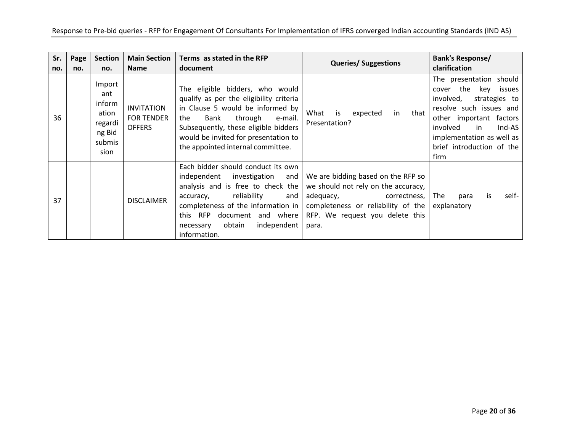| Sr.<br>no. | Page<br>no. | <b>Section</b><br>no.                                                   | <b>Main Section</b><br><b>Name</b>                      | Terms as stated in the RFP<br>document                                                                                                                                                                                                                                    | <b>Queries/ Suggestions</b>                                                                                                                                                           | <b>Bank's Response/</b><br>clarification                                                                                                                                                                                          |
|------------|-------------|-------------------------------------------------------------------------|---------------------------------------------------------|---------------------------------------------------------------------------------------------------------------------------------------------------------------------------------------------------------------------------------------------------------------------------|---------------------------------------------------------------------------------------------------------------------------------------------------------------------------------------|-----------------------------------------------------------------------------------------------------------------------------------------------------------------------------------------------------------------------------------|
| 36         |             | Import<br>ant<br>inform<br>ation<br>regardi<br>ng Bid<br>submis<br>sion | <b>INVITATION</b><br><b>FOR TENDER</b><br><b>OFFERS</b> | The eligible bidders, who would<br>qualify as per the eligibility criteria<br>in Clause 5 would be informed by<br>through<br>the<br>Bank<br>e-mail.<br>Subsequently, these eligible bidders<br>would be invited for presentation to<br>the appointed internal committee.  | What<br>is<br>expected<br>in<br>that<br>Presentation?                                                                                                                                 | The presentation should<br>cover the key issues<br>involved,<br>strategies to<br>resolve such issues and<br>other important factors<br>Ind-AS<br>involved<br>in<br>implementation as well as<br>brief introduction of the<br>firm |
| 37         |             |                                                                         | <b>DISCLAIMER</b>                                       | Each bidder should conduct its own<br>independent<br>investigation and<br>analysis and is free to check the<br>accuracy, reliability<br>and<br>completeness of the information in<br>this RFP<br>document and where<br>obtain<br>independent<br>necessary<br>information. | We are bidding based on the RFP so<br>we should not rely on the accuracy,<br>adequacy, correctness,<br>completeness or reliability of the<br>RFP. We request you delete this<br>para. | self-<br>The<br>para<br>is.<br>explanatory                                                                                                                                                                                        |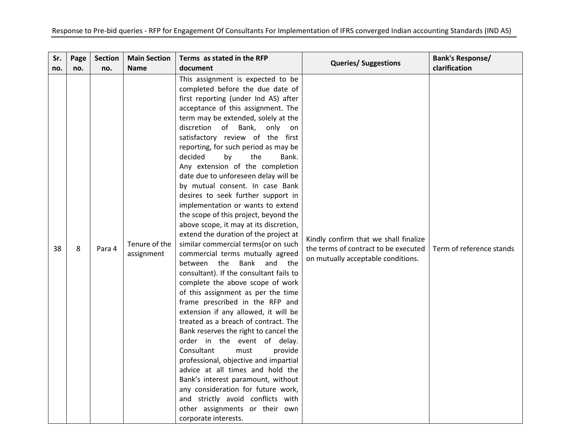| Sr. | Page | <b>Section</b> | <b>Main Section</b>         | Terms as stated in the RFP                                                                                                                                                                                                                                                                                                                                                                                                                                                                                                                                                                                                                                                                                                                                                                                                                                                                                                                                                                                                                                                                                                                                                                                                                                                                                                                                                                     | <b>Queries/ Suggestions</b>                                                                                         | <b>Bank's Response/</b>  |
|-----|------|----------------|-----------------------------|------------------------------------------------------------------------------------------------------------------------------------------------------------------------------------------------------------------------------------------------------------------------------------------------------------------------------------------------------------------------------------------------------------------------------------------------------------------------------------------------------------------------------------------------------------------------------------------------------------------------------------------------------------------------------------------------------------------------------------------------------------------------------------------------------------------------------------------------------------------------------------------------------------------------------------------------------------------------------------------------------------------------------------------------------------------------------------------------------------------------------------------------------------------------------------------------------------------------------------------------------------------------------------------------------------------------------------------------------------------------------------------------|---------------------------------------------------------------------------------------------------------------------|--------------------------|
| no. | no.  | no.            | <b>Name</b>                 | document                                                                                                                                                                                                                                                                                                                                                                                                                                                                                                                                                                                                                                                                                                                                                                                                                                                                                                                                                                                                                                                                                                                                                                                                                                                                                                                                                                                       |                                                                                                                     | clarification            |
| 38  | 8    | Para 4         | Tenure of the<br>assignment | This assignment is expected to be<br>completed before the due date of<br>first reporting (under Ind AS) after<br>acceptance of this assignment. The<br>term may be extended, solely at the<br>discretion of Bank,<br>only<br>on<br>satisfactory review of the first<br>reporting, for such period as may be<br>decided<br>the<br>Bank.<br>by<br>Any extension of the completion<br>date due to unforeseen delay will be<br>by mutual consent. In case Bank<br>desires to seek further support in<br>implementation or wants to extend<br>the scope of this project, beyond the<br>above scope, it may at its discretion,<br>extend the duration of the project at<br>similar commercial terms(or on such<br>commercial terms mutually agreed<br>Bank<br>the<br>and<br>between<br>the<br>consultant). If the consultant fails to<br>complete the above scope of work<br>of this assignment as per the time<br>frame prescribed in the RFP and<br>extension if any allowed, it will be<br>treated as a breach of contract. The<br>Bank reserves the right to cancel the<br>order in the event of delay.<br>Consultant<br>provide<br>must<br>professional, objective and impartial<br>advice at all times and hold the<br>Bank's interest paramount, without<br>any consideration for future work,<br>and strictly avoid conflicts with<br>other assignments or their own<br>corporate interests. | Kindly confirm that we shall finalize<br>the terms of contract to be executed<br>on mutually acceptable conditions. | Term of reference stands |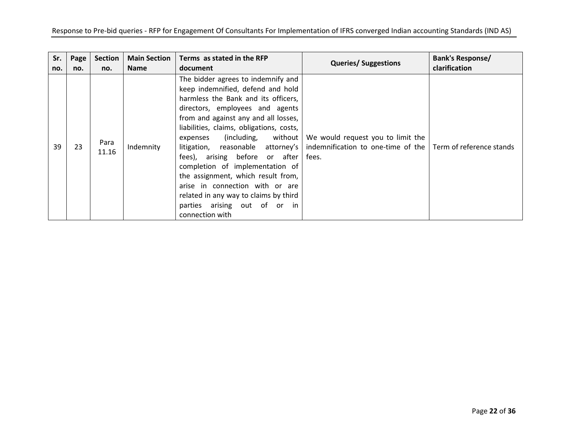| Sr. | Page | <b>Section</b> | <b>Main Section</b> | Terms as stated in the RFP                                                                                                                                                                                                                                                                                                                                                                                                                                                                                                                              | <b>Queries/ Suggestions</b>                                                      | Bank's Response/         |
|-----|------|----------------|---------------------|---------------------------------------------------------------------------------------------------------------------------------------------------------------------------------------------------------------------------------------------------------------------------------------------------------------------------------------------------------------------------------------------------------------------------------------------------------------------------------------------------------------------------------------------------------|----------------------------------------------------------------------------------|--------------------------|
| no. | no.  | no.            | <b>Name</b>         | document                                                                                                                                                                                                                                                                                                                                                                                                                                                                                                                                                |                                                                                  | clarification            |
| 39  | 23   | Para<br>11.16  | Indemnity           | The bidder agrees to indemnify and<br>keep indemnified, defend and hold<br>harmless the Bank and its officers,<br>directors, employees and agents<br>from and against any and all losses,<br>liabilities, claims, obligations, costs,<br>(including, without<br>expenses<br>litigation, reasonable attorney's<br>fees), arising before or after<br>completion of implementation of<br>the assignment, which result from,<br>arise in connection with or are<br>related in any way to claims by third<br>parties arising out of or in<br>connection with | We would request you to limit the<br>indemnification to one-time of the<br>fees. | Term of reference stands |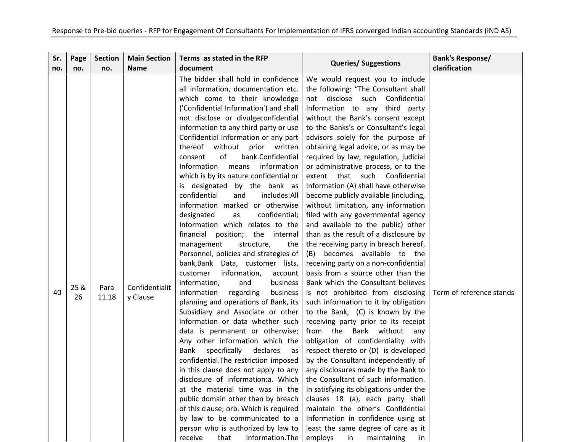| Sr. | Page       | <b>Section</b> | <b>Main Section</b>        | Terms as stated in the RFP                                                                                                                                                                                                                                                                                                                                                                                                                                                                                                                                                                                                                                                                                                                                                                                                                                                                                                                                                                                                                                                                                                                                                                                                                                                                                                                                                                                                                                                                              | <b>Queries/ Suggestions</b>                                                                                                                                                                                                                                                                                                                                                                                                                                                                                                                                                                                                                                                                                                                                                                                                                                                                                                                                                                                                                                                                                                                                                                                                                                                                                                                                                                                                                                                                                | <b>Bank's Response/</b>  |
|-----|------------|----------------|----------------------------|---------------------------------------------------------------------------------------------------------------------------------------------------------------------------------------------------------------------------------------------------------------------------------------------------------------------------------------------------------------------------------------------------------------------------------------------------------------------------------------------------------------------------------------------------------------------------------------------------------------------------------------------------------------------------------------------------------------------------------------------------------------------------------------------------------------------------------------------------------------------------------------------------------------------------------------------------------------------------------------------------------------------------------------------------------------------------------------------------------------------------------------------------------------------------------------------------------------------------------------------------------------------------------------------------------------------------------------------------------------------------------------------------------------------------------------------------------------------------------------------------------|------------------------------------------------------------------------------------------------------------------------------------------------------------------------------------------------------------------------------------------------------------------------------------------------------------------------------------------------------------------------------------------------------------------------------------------------------------------------------------------------------------------------------------------------------------------------------------------------------------------------------------------------------------------------------------------------------------------------------------------------------------------------------------------------------------------------------------------------------------------------------------------------------------------------------------------------------------------------------------------------------------------------------------------------------------------------------------------------------------------------------------------------------------------------------------------------------------------------------------------------------------------------------------------------------------------------------------------------------------------------------------------------------------------------------------------------------------------------------------------------------------|--------------------------|
| no. | no.        | no.            | <b>Name</b>                | document                                                                                                                                                                                                                                                                                                                                                                                                                                                                                                                                                                                                                                                                                                                                                                                                                                                                                                                                                                                                                                                                                                                                                                                                                                                                                                                                                                                                                                                                                                |                                                                                                                                                                                                                                                                                                                                                                                                                                                                                                                                                                                                                                                                                                                                                                                                                                                                                                                                                                                                                                                                                                                                                                                                                                                                                                                                                                                                                                                                                                            | clarification            |
| 40  | 25 &<br>26 | Para<br>11.18  | Confidentialit<br>y Clause | The bidder shall hold in confidence<br>all information, documentation etc.<br>which come to their knowledge<br>('Confidential Information') and shall<br>not disclose or divulgeconfidential<br>information to any third party or use<br>Confidential Information or any part<br>thereof<br>without<br>prior written<br>of<br>bank.Confidential<br>consent<br>information<br>Information<br>means<br>which is by its nature confidential or<br>is designated<br>by the bank as<br>confidential<br>and<br>includes:All<br>information marked or otherwise<br>designated<br>confidential;<br>as<br>Information which relates to the<br>financial<br>position;<br>the internal<br>management<br>structure,<br>the<br>Personnel, policies and strategies of<br>bank, Bank Data, customer lists,<br>customer<br>information,<br>account<br>information,<br>and<br>business<br>information<br>regarding<br>business<br>planning and operations of Bank, its<br>Subsidiary and Associate or other<br>information or data whether such<br>data is permanent or otherwise;<br>Any other information which the<br>declares<br>Bank<br>specifically<br>as<br>confidential. The restriction imposed<br>in this clause does not apply to any<br>disclosure of information:a. Which<br>at the material time was in the<br>public domain other than by breach<br>of this clause; orb. Which is required<br>by law to be communicated to a<br>person who is authorized by law to<br>information. The<br>receive<br>that | We would request you to include<br>the following: "The Consultant shall<br>disclose<br>such Confidential<br>not<br>Information to any third party<br>without the Bank's consent except<br>to the Banks's or Consultant's legal<br>advisors solely for the purpose of<br>obtaining legal advice, or as may be<br>required by law, regulation, judicial<br>or administrative process, or to the<br>extent that such Confidential<br>Information (A) shall have otherwise<br>become publicly available (including,<br>without limitation, any information<br>filed with any governmental agency<br>and available to the public) other<br>than as the result of a disclosure by<br>the receiving party in breach hereof,<br>becomes available to the<br>(B)<br>receiving party on a non-confidential<br>basis from a source other than the<br>Bank which the Consultant believes<br>is not prohibited from disclosing<br>such information to it by obligation<br>to the Bank, (C) is known by the<br>receiving party prior to its receipt<br>Bank without any<br>from the<br>obligation of confidentiality with<br>respect thereto or (D) is developed<br>by the Consultant independently of<br>any disclosures made by the Bank to<br>the Consultant of such information.<br>In satisfying its obligations under the<br>clauses 18 (a), each party shall<br>maintain the other's Confidential<br>Information in confidence using at<br>least the same degree of care as it<br>employs<br>in maintaining<br>in | Term of reference stands |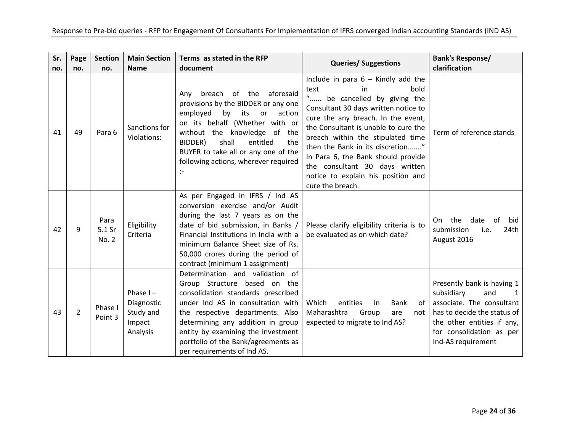| Sr.<br>no. | Page<br>no.    | <b>Section</b><br>no.   | <b>Main Section</b><br><b>Name</b>                           | Terms as stated in the RFP<br>document                                                                                                                                                                                                                                                                                          | <b>Queries/ Suggestions</b>                                                                                                                                                                                                                                                                                                                                                                                                 | <b>Bank's Response/</b><br>clarification                                                                                                                                                    |
|------------|----------------|-------------------------|--------------------------------------------------------------|---------------------------------------------------------------------------------------------------------------------------------------------------------------------------------------------------------------------------------------------------------------------------------------------------------------------------------|-----------------------------------------------------------------------------------------------------------------------------------------------------------------------------------------------------------------------------------------------------------------------------------------------------------------------------------------------------------------------------------------------------------------------------|---------------------------------------------------------------------------------------------------------------------------------------------------------------------------------------------|
| 41         | 49             | Para 6                  | Sanctions for<br>Violations:                                 | breach of the<br>aforesaid<br>Any<br>provisions by the BIDDER or any one<br>employed<br>by<br>its<br>action<br><b>or</b><br>on its behalf (Whether with or<br>without the knowledge of the<br>shall<br>BIDDER)<br>entitled<br>the<br>BUYER to take all or any one of the<br>following actions, wherever required<br>÷           | Include in para $6 -$ Kindly add the<br>text<br>bold<br>in<br>" be cancelled by giving the<br>Consultant 30 days written notice to<br>cure the any breach. In the event,<br>the Consultant is unable to cure the<br>breach within the stipulated time<br>then the Bank in its discretion"<br>In Para 6, the Bank should provide<br>the consultant 30 days written<br>notice to explain his position and<br>cure the breach. | Term of reference stands                                                                                                                                                                    |
| 42         | 9              | Para<br>5.1 Sr<br>No. 2 | Eligibility<br>Criteria                                      | As per Engaged in IFRS / Ind AS<br>conversion exercise and/or Audit<br>during the last 7 years as on the<br>date of bid submission, in Banks /<br>Financial Institutions in India with a<br>minimum Balance Sheet size of Rs.<br>50,000 crores during the period of<br>contract (minimum 1 assignment)                          | Please clarify eligibility criteria is to<br>be evaluated as on which date?                                                                                                                                                                                                                                                                                                                                                 | the<br>date<br>0f<br>On.<br>bid<br>submission<br>24th<br>i.e.<br>August 2016                                                                                                                |
| 43         | $\overline{2}$ | Phase I<br>Point 3      | Phase $I -$<br>Diagnostic<br>Study and<br>Impact<br>Analysis | Determination and validation of<br>Group Structure based on the<br>consolidation standards prescribed<br>under Ind AS in consultation with<br>the respective departments. Also<br>determining any addition in group<br>entity by examining the investment<br>portfolio of the Bank/agreements as<br>per requirements of Ind AS. | Which<br>entities<br>Bank<br>0f<br>in<br>Maharashtra<br>Group<br>are<br>not<br>expected to migrate to Ind AS?                                                                                                                                                                                                                                                                                                               | Presently bank is having 1<br>subsidiary<br>and<br>associate. The consultant<br>has to decide the status of<br>the other entities if any,<br>for consolidation as per<br>Ind-AS requirement |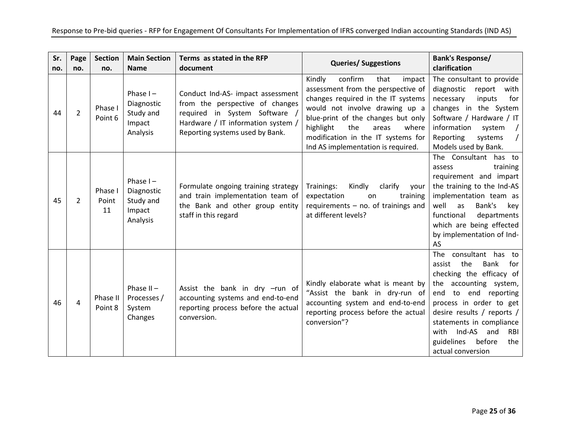| Sr.<br>no. | Page<br>no.    | <b>Section</b><br>no.  | <b>Main Section</b><br><b>Name</b>                           | Terms as stated in the RFP<br>document                                                                                                                                         | <b>Queries/ Suggestions</b>                                                                                                                                                                                                                                                                               | <b>Bank's Response/</b><br>clarification                                                                                                                                                                                                                                                                            |
|------------|----------------|------------------------|--------------------------------------------------------------|--------------------------------------------------------------------------------------------------------------------------------------------------------------------------------|-----------------------------------------------------------------------------------------------------------------------------------------------------------------------------------------------------------------------------------------------------------------------------------------------------------|---------------------------------------------------------------------------------------------------------------------------------------------------------------------------------------------------------------------------------------------------------------------------------------------------------------------|
| 44         | $\overline{2}$ | Phase I<br>Point 6     | Phase $I -$<br>Diagnostic<br>Study and<br>Impact<br>Analysis | Conduct Ind-AS- impact assessment<br>from the perspective of changes<br>required in System Software /<br>Hardware / IT information system /<br>Reporting systems used by Bank. | Kindly<br>confirm<br>that<br>impact<br>assessment from the perspective of<br>changes required in the IT systems<br>would not involve drawing up a<br>blue-print of the changes but only<br>highlight<br>the<br>where<br>areas<br>modification in the IT systems for<br>Ind AS implementation is required. | The consultant to provide<br>diagnostic<br>report with<br>inputs<br>for<br>necessary<br>changes in the System<br>Software / Hardware / IT<br>information<br>system<br>Reporting<br>systems<br>Models used by Bank.                                                                                                  |
| 45         | 2              | Phase I<br>Point<br>11 | Phase $I -$<br>Diagnostic<br>Study and<br>Impact<br>Analysis | Formulate ongoing training strategy<br>and train implementation team of<br>the Bank and other group entity<br>staff in this regard                                             | Trainings:<br>Kindly<br>clarify<br>your<br>expectation<br>training<br>on<br>requirements $-$ no. of trainings and<br>at different levels?                                                                                                                                                                 | The Consultant has to<br>training<br>assess<br>requirement and impart<br>the training to the Ind-AS<br>implementation team as<br>well<br>Bank's<br>as<br>key<br>functional<br>departments<br>which are being effected<br>by implementation of Ind-<br>AS                                                            |
| 46         | 4              | Phase II<br>Point 8    | Phase $II -$<br>Processes /<br>System<br>Changes             | Assist the bank in dry -run of<br>accounting systems and end-to-end<br>reporting process before the actual<br>conversion.                                                      | Kindly elaborate what is meant by<br>"Assist the bank in dry-run of<br>accounting system and end-to-end<br>reporting process before the actual<br>conversion"?                                                                                                                                            | consultant has to<br><b>The</b><br>the<br>Bank<br>assist<br>for<br>checking the efficacy of<br>the accounting system,<br>end to end reporting<br>process in order to get<br>desire results / reports /<br>statements in compliance<br>with Ind-AS<br>RBI<br>and<br>guidelines<br>before<br>the<br>actual conversion |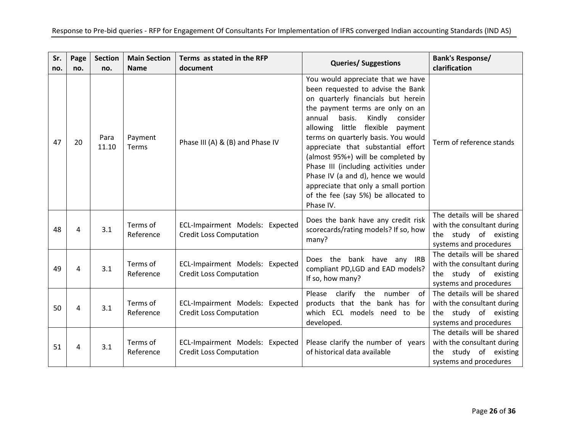| Sr.<br>no. | Page<br>no. | <b>Section</b><br>no. | <b>Main Section</b><br><b>Name</b> | Terms as stated in the RFP<br>document                            | <b>Queries/ Suggestions</b>                                                                                                                                                                                                                                                                                                                                                                                                                                                                                                        | <b>Bank's Response/</b><br>clarification                                                                       |
|------------|-------------|-----------------------|------------------------------------|-------------------------------------------------------------------|------------------------------------------------------------------------------------------------------------------------------------------------------------------------------------------------------------------------------------------------------------------------------------------------------------------------------------------------------------------------------------------------------------------------------------------------------------------------------------------------------------------------------------|----------------------------------------------------------------------------------------------------------------|
| 47         | 20          | Para<br>11.10         | Payment<br>Terms                   | Phase III (A) & (B) and Phase IV                                  | You would appreciate that we have<br>been requested to advise the Bank<br>on quarterly financials but herein<br>the payment terms are only on an<br>basis.<br>Kindly<br>annual<br>consider<br>allowing little<br>flexible<br>payment<br>terms on quarterly basis. You would<br>appreciate that substantial effort<br>(almost 95%+) will be completed by<br>Phase III (including activities under<br>Phase IV (a and d), hence we would<br>appreciate that only a small portion<br>of the fee (say 5%) be allocated to<br>Phase IV. | Term of reference stands                                                                                       |
| 48         | 4           | 3.1                   | Terms of<br>Reference              | ECL-Impairment Models: Expected<br><b>Credit Loss Computation</b> | Does the bank have any credit risk<br>scorecards/rating models? If so, how<br>many?                                                                                                                                                                                                                                                                                                                                                                                                                                                | The details will be shared<br>with the consultant during<br>the study of existing<br>systems and procedures    |
| 49         | 4           | 3.1                   | Terms of<br>Reference              | ECL-Impairment Models: Expected<br><b>Credit Loss Computation</b> | Does the bank have any IRB<br>compliant PD,LGD and EAD models?<br>If so, how many?                                                                                                                                                                                                                                                                                                                                                                                                                                                 | The details will be shared<br>with the consultant during<br>the study of existing<br>systems and procedures    |
| 50         | 4           | 3.1                   | Terms of<br>Reference              | ECL-Impairment Models: Expected<br><b>Credit Loss Computation</b> | Please clarify the number<br>of<br>products that the bank has for<br>which ECL models need to be<br>developed.                                                                                                                                                                                                                                                                                                                                                                                                                     | The details will be shared<br>with the consultant during<br>the study of existing<br>systems and procedures    |
| 51         | 4           | 3.1                   | Terms of<br>Reference              | ECL-Impairment Models: Expected<br><b>Credit Loss Computation</b> | Please clarify the number of years<br>of historical data available                                                                                                                                                                                                                                                                                                                                                                                                                                                                 | The details will be shared<br>with the consultant during<br>study of existing<br>the<br>systems and procedures |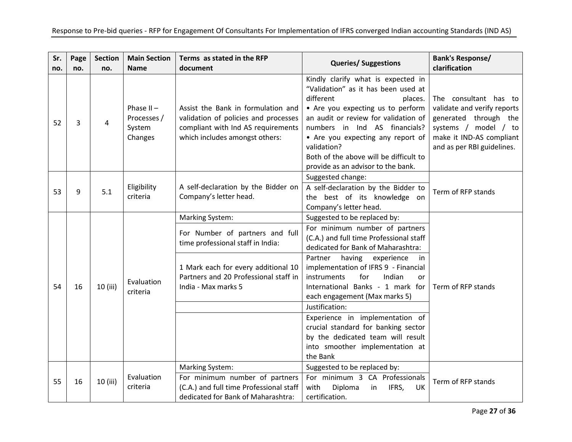| Sr.<br>no. | Page<br>no. | <b>Section</b><br>no. | <b>Main Section</b><br><b>Name</b>               | Terms as stated in the RFP<br>document                                                                                                                                                                | <b>Queries/ Suggestions</b>                                                                                                                                                                                                                                                                                                                                                                                                                                                                                                  | <b>Bank's Response/</b><br>clarification                                                                                                                        |
|------------|-------------|-----------------------|--------------------------------------------------|-------------------------------------------------------------------------------------------------------------------------------------------------------------------------------------------------------|------------------------------------------------------------------------------------------------------------------------------------------------------------------------------------------------------------------------------------------------------------------------------------------------------------------------------------------------------------------------------------------------------------------------------------------------------------------------------------------------------------------------------|-----------------------------------------------------------------------------------------------------------------------------------------------------------------|
| 52         | 3           | 4                     | Phase $II -$<br>Processes /<br>System<br>Changes | Assist the Bank in formulation and<br>validation of policies and processes<br>compliant with Ind AS requirements<br>which includes amongst others:                                                    | Kindly clarify what is expected in<br>"Validation" as it has been used at<br>different<br>places.<br>• Are you expecting us to perform<br>an audit or review for validation of<br>numbers in Ind AS financials?<br>• Are you expecting any report of<br>validation?<br>Both of the above will be difficult to<br>provide as an advisor to the bank.                                                                                                                                                                          | The consultant has to<br>validate and verify reports<br>generated through the<br>systems / model / to<br>make it IND-AS compliant<br>and as per RBI guidelines. |
| 53         | 9           | 5.1                   | Eligibility<br>criteria                          | A self-declaration by the Bidder on<br>Company's letter head.                                                                                                                                         | Suggested change:<br>A self-declaration by the Bidder to<br>the best of its knowledge on<br>Company's letter head.                                                                                                                                                                                                                                                                                                                                                                                                           | Term of RFP stands                                                                                                                                              |
| 54         | 16          | 10 (iii)              | Evaluation<br>criteria                           | <b>Marking System:</b><br>For Number of partners and full<br>time professional staff in India:<br>1 Mark each for every additional 10<br>Partners and 20 Professional staff in<br>India - Max marks 5 | Suggested to be replaced by:<br>For minimum number of partners<br>(C.A.) and full time Professional staff<br>dedicated for Bank of Maharashtra:<br>Partner<br>having<br>experience<br>-in<br>implementation of IFRS 9 - Financial<br>instruments<br>for<br>Indian<br>or<br>International Banks - 1 mark for<br>each engagement (Max marks 5)<br>Justification:<br>Experience in implementation of<br>crucial standard for banking sector<br>by the dedicated team will result<br>into smoother implementation at<br>the Bank | Term of RFP stands                                                                                                                                              |
| 55         | 16          | 10 (iii)              | Evaluation<br>criteria                           | <b>Marking System:</b><br>For minimum number of partners<br>(C.A.) and full time Professional staff<br>dedicated for Bank of Maharashtra:                                                             | Suggested to be replaced by:<br>For minimum 3 CA Professionals<br>with<br>Diploma<br>IFRS,<br>in<br>UK<br>certification.                                                                                                                                                                                                                                                                                                                                                                                                     | Term of RFP stands                                                                                                                                              |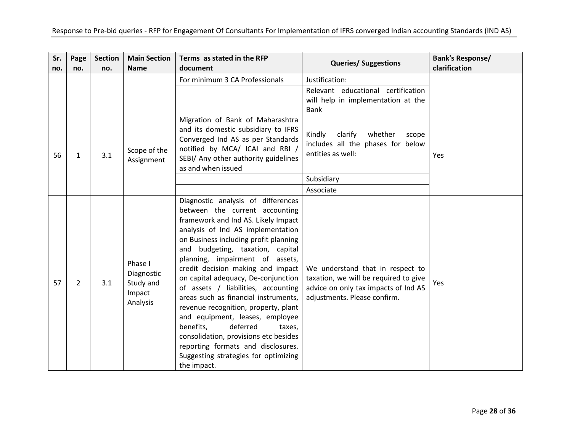| Sr.<br>no. | Page<br>no. | <b>Section</b><br>no. | <b>Main Section</b><br><b>Name</b>                       | Terms as stated in the RFP<br>document                                                                                                                                                                                                                                                                                                                                                                                                                                                                                                                                                                                                                                          | <b>Queries/ Suggestions</b>                                                                                                                       | <b>Bank's Response/</b><br>clarification |
|------------|-------------|-----------------------|----------------------------------------------------------|---------------------------------------------------------------------------------------------------------------------------------------------------------------------------------------------------------------------------------------------------------------------------------------------------------------------------------------------------------------------------------------------------------------------------------------------------------------------------------------------------------------------------------------------------------------------------------------------------------------------------------------------------------------------------------|---------------------------------------------------------------------------------------------------------------------------------------------------|------------------------------------------|
|            |             |                       |                                                          | For minimum 3 CA Professionals                                                                                                                                                                                                                                                                                                                                                                                                                                                                                                                                                                                                                                                  | Justification:                                                                                                                                    |                                          |
|            |             |                       |                                                          |                                                                                                                                                                                                                                                                                                                                                                                                                                                                                                                                                                                                                                                                                 | Relevant educational certification<br>will help in implementation at the<br><b>Bank</b>                                                           |                                          |
| 56         | 1           | 3.1                   | Scope of the<br>Assignment                               | Migration of Bank of Maharashtra<br>and its domestic subsidiary to IFRS<br>Converged Ind AS as per Standards<br>notified by MCA/ ICAI and RBI /<br>SEBI/ Any other authority guidelines<br>as and when issued                                                                                                                                                                                                                                                                                                                                                                                                                                                                   | Kindly<br>clarify<br>whether<br>scope<br>includes all the phases for below<br>entities as well:                                                   | Yes                                      |
|            |             |                       |                                                          |                                                                                                                                                                                                                                                                                                                                                                                                                                                                                                                                                                                                                                                                                 | Subsidiary                                                                                                                                        |                                          |
|            |             |                       |                                                          |                                                                                                                                                                                                                                                                                                                                                                                                                                                                                                                                                                                                                                                                                 | Associate                                                                                                                                         |                                          |
| 57         | 2           | 3.1                   | Phase I<br>Diagnostic<br>Study and<br>Impact<br>Analysis | Diagnostic analysis of differences<br>between the current accounting<br>framework and Ind AS. Likely Impact<br>analysis of Ind AS implementation<br>on Business including profit planning<br>and budgeting, taxation, capital<br>planning, impairment of assets,<br>credit decision making and impact<br>on capital adequacy, De-conjunction<br>of assets / liabilities, accounting<br>areas such as financial instruments,<br>revenue recognition, property, plant<br>and equipment, leases, employee<br>benefits,<br>deferred<br>taxes,<br>consolidation, provisions etc besides<br>reporting formats and disclosures.<br>Suggesting strategies for optimizing<br>the impact. | We understand that in respect to<br>taxation, we will be required to give<br>advice on only tax impacts of Ind AS<br>adjustments. Please confirm. | Yes                                      |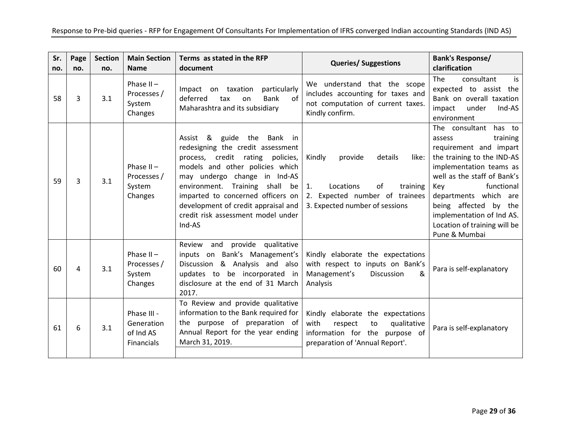| Sr.<br>no. | Page<br>no. | <b>Section</b><br>no. | <b>Main Section</b><br><b>Name</b>                   | Terms as stated in the RFP<br>document                                                                                                                                                                                                                                                                                                        | <b>Queries/ Suggestions</b>                                                                                                                    | <b>Bank's Response/</b><br>clarification                                                                                                                                                                                                                                                                              |
|------------|-------------|-----------------------|------------------------------------------------------|-----------------------------------------------------------------------------------------------------------------------------------------------------------------------------------------------------------------------------------------------------------------------------------------------------------------------------------------------|------------------------------------------------------------------------------------------------------------------------------------------------|-----------------------------------------------------------------------------------------------------------------------------------------------------------------------------------------------------------------------------------------------------------------------------------------------------------------------|
| 58         | 3           | 3.1                   | Phase $II -$<br>Processes /<br>System<br>Changes     | particularly<br>Impact on taxation<br>deferred<br>Bank<br>0f<br>tax<br>on<br>Maharashtra and its subsidiary                                                                                                                                                                                                                                   | We understand that the scope<br>includes accounting for taxes and<br>not computation of current taxes.<br>Kindly confirm.                      | consultant<br><b>The</b><br>is.<br>expected to assist the<br>Bank on overall taxation<br>under<br>Ind-AS<br>impact<br>environment                                                                                                                                                                                     |
| 59         | 3           | 3.1                   | Phase $II -$<br>Processes /<br>System<br>Changes     | Assist &<br>guide the Bank in<br>redesigning the credit assessment<br>process, credit rating policies,<br>models and other policies which<br>may undergo change in Ind-AS<br>environment.<br>Training<br>shall be<br>imparted to concerned officers on<br>development of credit appraisal and<br>credit risk assessment model under<br>Ind-AS | details<br>Kindly<br>provide<br>like:<br>Locations<br>of<br>training<br>1.<br>2. Expected number of trainees<br>3. Expected number of sessions | The consultant<br>has to<br>training<br>assess<br>requirement and impart<br>the training to the IND-AS<br>implementation teams as<br>well as the staff of Bank's<br>functional<br>Kev<br>departments which are<br>being affected by the<br>implementation of Ind AS.<br>Location of training will be<br>Pune & Mumbai |
| 60         | 4           | 3.1                   | Phase $II -$<br>Processes /<br>System<br>Changes     | and<br>provide qualitative<br>Review<br>inputs on Bank's Management's<br>Discussion & Analysis and also<br>updates to be incorporated in<br>disclosure at the end of 31 March<br>2017.                                                                                                                                                        | Kindly elaborate the expectations<br>with respect to inputs on Bank's<br>Management's<br>&<br><b>Discussion</b><br>Analysis                    | Para is self-explanatory                                                                                                                                                                                                                                                                                              |
| 61         | 6           | 3.1                   | Phase III -<br>Generation<br>of Ind AS<br>Financials | To Review and provide qualitative<br>information to the Bank required for<br>the purpose of preparation of<br>Annual Report for the year ending<br>March 31, 2019.                                                                                                                                                                            | Kindly elaborate the expectations<br>with<br>qualitative<br>respect<br>to<br>information for the purpose of<br>preparation of 'Annual Report'. | Para is self-explanatory                                                                                                                                                                                                                                                                                              |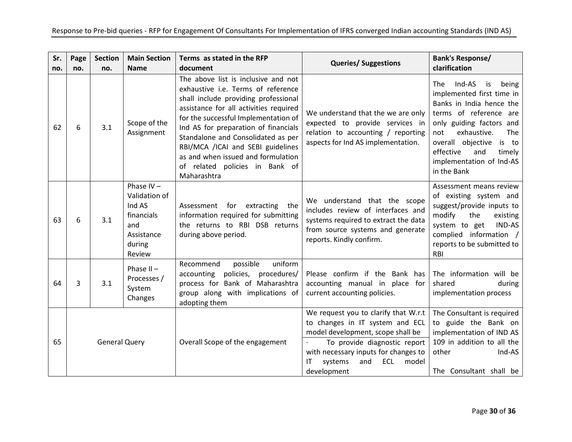| Sr. | Page                 | <b>Section</b> | <b>Main Section</b>                                                                            | Terms as stated in the RFP                                                                                                                                                                                                                                                                                                                                                                                    | <b>Queries/ Suggestions</b>                                                                                                                                                                                                                 | <b>Bank's Response/</b>                                                                                                                                                                                                                                                           |
|-----|----------------------|----------------|------------------------------------------------------------------------------------------------|---------------------------------------------------------------------------------------------------------------------------------------------------------------------------------------------------------------------------------------------------------------------------------------------------------------------------------------------------------------------------------------------------------------|---------------------------------------------------------------------------------------------------------------------------------------------------------------------------------------------------------------------------------------------|-----------------------------------------------------------------------------------------------------------------------------------------------------------------------------------------------------------------------------------------------------------------------------------|
| no. | no.                  | no.            | <b>Name</b>                                                                                    | document                                                                                                                                                                                                                                                                                                                                                                                                      |                                                                                                                                                                                                                                             | clarification                                                                                                                                                                                                                                                                     |
| 62  | 6                    | 3.1            | Scope of the<br>Assignment                                                                     | The above list is inclusive and not<br>exhaustive i.e. Terms of reference<br>shall include providing professional<br>assistance for all activities required<br>for the successful Implementation of<br>Ind AS for preparation of financials<br>Standalone and Consolidated as per<br>RBI/MCA /ICAI and SEBI guidelines<br>as and when issued and formulation<br>of related policies in Bank of<br>Maharashtra | We understand that the we are only<br>expected to provide services in<br>relation to accounting / reporting<br>aspects for Ind AS implementation.                                                                                           | Ind-AS<br>The .<br>is<br>being<br>implemented first time in<br>Banks in India hence the<br>terms of reference are<br>only guiding factors and<br>exhaustive.<br>not<br>The<br>overall objective<br>is to<br>effective<br>and<br>timely<br>implementation of Ind-AS<br>in the Bank |
| 63  | 6                    | 3.1            | Phase $IV -$<br>Validation of<br>Ind AS<br>financials<br>and<br>Assistance<br>during<br>Review | Assessment for extracting<br>the<br>information required for submitting<br>the returns to RBI DSB returns<br>during above period.                                                                                                                                                                                                                                                                             | We understand that the scope<br>includes review of interfaces and<br>systems required to extract the data<br>from source systems and generate<br>reports. Kindly confirm.                                                                   | Assessment means review<br>of existing system and<br>suggest/provide inputs to<br>modify<br>the<br>existing<br>IND-AS<br>system to get<br>complied information /<br>reports to be submitted to<br><b>RBI</b>                                                                      |
| 64  | 3                    | 3.1            | Phase $II -$<br>Processes /<br>System<br>Changes                                               | uniform<br>possible<br>Recommend<br>accounting policies,<br>procedures/<br>process for Bank of Maharashtra<br>group along with implications of<br>adopting them                                                                                                                                                                                                                                               | Please confirm if the Bank has<br>accounting manual in place for<br>current accounting policies.                                                                                                                                            | The information will be<br>shared<br>during<br>implementation process                                                                                                                                                                                                             |
| 65  | <b>General Query</b> |                |                                                                                                | Overall Scope of the engagement                                                                                                                                                                                                                                                                                                                                                                               | We request you to clarify that W.r.t<br>to changes in IT system and ECL<br>model development, scope shall be<br>To provide diagnostic report<br>with necessary inputs for changes to<br>ECL<br>and<br>model<br>ΙT<br>systems<br>development | The Consultant is required<br>to guide the Bank on<br>implementation of IND AS<br>109 in addition to all the<br>other<br>Ind-AS<br>The Consultant shall be                                                                                                                        |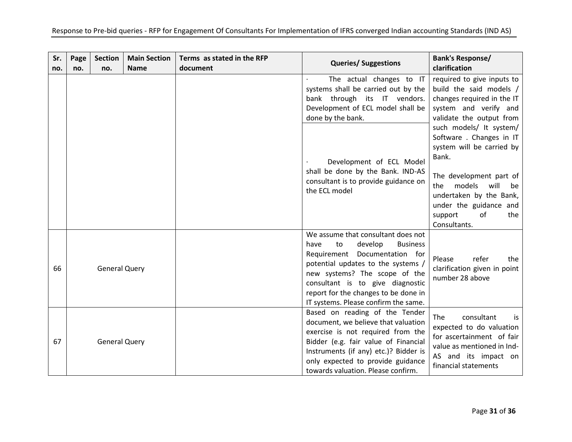| Sr.<br>no. | Page<br>no. | <b>Section</b><br>no. | <b>Main Section</b><br><b>Name</b> | Terms as stated in the RFP<br>document | <b>Queries/ Suggestions</b>                                                                                                                                                                                                                                                                                | <b>Bank's Response/</b><br>clarification                                                                                                                                                                                                         |
|------------|-------------|-----------------------|------------------------------------|----------------------------------------|------------------------------------------------------------------------------------------------------------------------------------------------------------------------------------------------------------------------------------------------------------------------------------------------------------|--------------------------------------------------------------------------------------------------------------------------------------------------------------------------------------------------------------------------------------------------|
|            |             |                       |                                    |                                        | The actual changes to IT<br>systems shall be carried out by the<br>bank through its IT vendors.<br>Development of ECL model shall be<br>done by the bank.                                                                                                                                                  | required to give inputs to<br>build the said models /<br>changes required in the IT<br>system and verify and<br>validate the output from                                                                                                         |
|            |             |                       |                                    |                                        | Development of ECL Model<br>shall be done by the Bank. IND-AS<br>consultant is to provide guidance on<br>the ECL model                                                                                                                                                                                     | such models/ It system/<br>Software . Changes in IT<br>system will be carried by<br>Bank.<br>The development part of<br>the<br>models<br>will<br>be<br>undertaken by the Bank,<br>under the guidance and<br>of<br>support<br>the<br>Consultants. |
| 66         |             | <b>General Query</b>  |                                    |                                        | We assume that consultant does not<br>develop<br><b>Business</b><br>have<br>to<br>Requirement Documentation for<br>potential updates to the systems /<br>new systems? The scope of the<br>consultant is to give diagnostic<br>report for the changes to be done in<br>IT systems. Please confirm the same. | refer<br>the<br>Please<br>clarification given in point<br>number 28 above                                                                                                                                                                        |
| 67         |             | <b>General Query</b>  |                                    |                                        | Based on reading of the Tender<br>document, we believe that valuation<br>exercise is not required from the<br>Bidder (e.g. fair value of Financial<br>Instruments (if any) etc.)? Bidder is<br>only expected to provide guidance<br>towards valuation. Please confirm.                                     | <b>The</b><br>consultant<br>is.<br>expected to do valuation<br>for ascertainment of fair<br>value as mentioned in Ind-<br>AS and its impact on<br>financial statements                                                                           |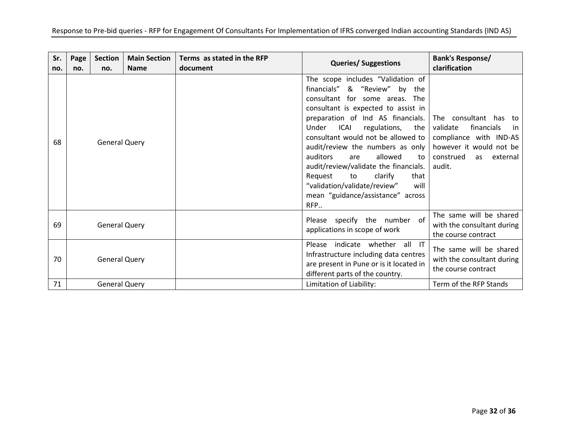| Sr.<br>no. | Page<br>no.          | <b>Section</b><br>no. | <b>Main Section</b><br><b>Name</b> | Terms as stated in the RFP<br>document | <b>Queries/ Suggestions</b>                                                                                                                                                                                                                                                                                                                                                                                                                                                                                | <b>Bank's Response/</b><br>clarification                                                                                                             |
|------------|----------------------|-----------------------|------------------------------------|----------------------------------------|------------------------------------------------------------------------------------------------------------------------------------------------------------------------------------------------------------------------------------------------------------------------------------------------------------------------------------------------------------------------------------------------------------------------------------------------------------------------------------------------------------|------------------------------------------------------------------------------------------------------------------------------------------------------|
| 68         | <b>General Query</b> |                       |                                    |                                        | The scope includes "Validation of<br>financials" & "Review"<br>by the<br>consultant for some areas. The<br>consultant is expected to assist in<br>preparation of Ind AS financials.<br>ICAI<br>regulations,<br>Under<br>the<br>consultant would not be allowed to<br>audit/review the numbers as only<br>auditors<br>allowed<br>are<br>to<br>audit/review/validate the financials.<br>Request<br>to<br>clarify<br>that<br>"validation/validate/review"<br>will<br>mean "guidance/assistance" across<br>RFP | The consultant has to<br>validate<br>financials<br>-in<br>compliance with IND-AS<br>however it would not be<br>construed<br>external<br>as<br>audit. |
| 69         |                      | <b>General Query</b>  |                                    |                                        | Please specify the number of<br>applications in scope of work                                                                                                                                                                                                                                                                                                                                                                                                                                              | The same will be shared<br>with the consultant during<br>the course contract                                                                         |
| 70         |                      | <b>General Query</b>  |                                    |                                        | Please indicate whether all IT<br>Infrastructure including data centres<br>are present in Pune or is it located in<br>different parts of the country.                                                                                                                                                                                                                                                                                                                                                      | The same will be shared<br>with the consultant during<br>the course contract                                                                         |
| 71         |                      | <b>General Query</b>  |                                    |                                        | Limitation of Liability:                                                                                                                                                                                                                                                                                                                                                                                                                                                                                   | Term of the RFP Stands                                                                                                                               |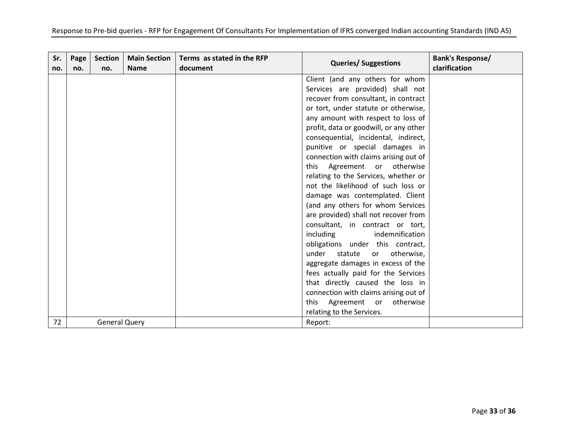| Sr.<br>no. | Page<br>no. | Section<br>no.       | <b>Main Section</b><br><b>Name</b> | Terms as stated in the RFP<br>document | <b>Queries/ Suggestions</b>            | <b>Bank's Response/</b><br>clarification |
|------------|-------------|----------------------|------------------------------------|----------------------------------------|----------------------------------------|------------------------------------------|
|            |             |                      |                                    |                                        | Client (and any others for whom        |                                          |
|            |             |                      |                                    |                                        | Services are provided) shall not       |                                          |
|            |             |                      |                                    |                                        | recover from consultant, in contract   |                                          |
|            |             |                      |                                    |                                        | or tort, under statute or otherwise,   |                                          |
|            |             |                      |                                    |                                        | any amount with respect to loss of     |                                          |
|            |             |                      |                                    |                                        | profit, data or goodwill, or any other |                                          |
|            |             |                      |                                    |                                        | consequential, incidental, indirect,   |                                          |
|            |             |                      |                                    |                                        | punitive or special damages in         |                                          |
|            |             |                      |                                    |                                        | connection with claims arising out of  |                                          |
|            |             |                      |                                    |                                        | this Agreement or otherwise            |                                          |
|            |             |                      |                                    |                                        | relating to the Services, whether or   |                                          |
|            |             |                      |                                    |                                        | not the likelihood of such loss or     |                                          |
|            |             |                      |                                    |                                        | damage was contemplated. Client        |                                          |
|            |             |                      |                                    |                                        | (and any others for whom Services      |                                          |
|            |             |                      |                                    |                                        | are provided) shall not recover from   |                                          |
|            |             |                      |                                    |                                        | consultant, in contract or tort,       |                                          |
|            |             |                      |                                    |                                        | including<br>indemnification           |                                          |
|            |             |                      |                                    |                                        | obligations under this contract,       |                                          |
|            |             |                      |                                    |                                        | under<br>statute<br>or otherwise,      |                                          |
|            |             |                      |                                    |                                        | aggregate damages in excess of the     |                                          |
|            |             |                      |                                    |                                        | fees actually paid for the Services    |                                          |
|            |             |                      |                                    |                                        | that directly caused the loss in       |                                          |
|            |             |                      |                                    |                                        | connection with claims arising out of  |                                          |
|            |             |                      |                                    |                                        | otherwise<br>Agreement or<br>this      |                                          |
|            |             |                      |                                    |                                        | relating to the Services.              |                                          |
| 72         |             | <b>General Query</b> |                                    |                                        | Report:                                |                                          |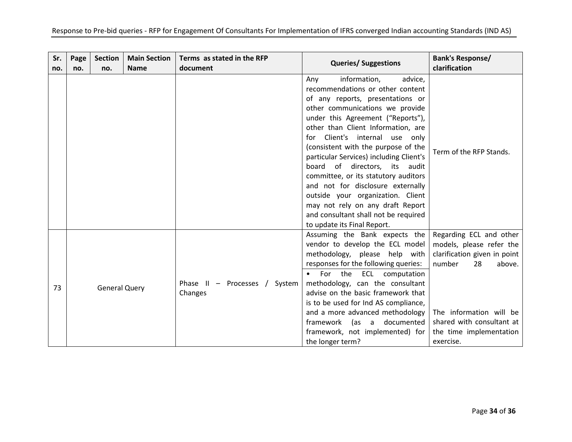| Sr.<br>no. | Page<br>no. | <b>Section</b><br>no. | <b>Main Section</b><br><b>Name</b> | Terms as stated in the RFP<br>document   | <b>Queries/ Suggestions</b>                                                                                                                                                                                                                                                                                                                                                                                                                                                                                                                                                                            | <b>Bank's Response/</b><br>clarification                                                                                                                                                                      |
|------------|-------------|-----------------------|------------------------------------|------------------------------------------|--------------------------------------------------------------------------------------------------------------------------------------------------------------------------------------------------------------------------------------------------------------------------------------------------------------------------------------------------------------------------------------------------------------------------------------------------------------------------------------------------------------------------------------------------------------------------------------------------------|---------------------------------------------------------------------------------------------------------------------------------------------------------------------------------------------------------------|
|            |             |                       |                                    |                                          | information,<br>advice,<br>Any<br>recommendations or other content<br>of any reports, presentations or<br>other communications we provide<br>under this Agreement ("Reports"),<br>other than Client Information, are<br>for Client's internal use only<br>(consistent with the purpose of the<br>particular Services) including Client's<br>board of directors, its audit<br>committee, or its statutory auditors<br>and not for disclosure externally<br>outside your organization. Client<br>may not rely on any draft Report<br>and consultant shall not be required<br>to update its Final Report. | Term of the RFP Stands.                                                                                                                                                                                       |
| 73         |             | <b>General Query</b>  |                                    | Phase II - Processes / System<br>Changes | Assuming the Bank expects the<br>vendor to develop the ECL model<br>methodology, please help with<br>responses for the following queries:<br>For the ECL computation<br>$\bullet$<br>methodology, can the consultant<br>advise on the basic framework that<br>is to be used for Ind AS compliance,<br>and a more advanced methodology<br>framework<br>(as a documented<br>framework, not implemented) for<br>the longer term?                                                                                                                                                                          | Regarding ECL and other<br>models, please refer the<br>clarification given in point<br>number<br>28<br>above.<br>The information will be<br>shared with consultant at<br>the time implementation<br>exercise. |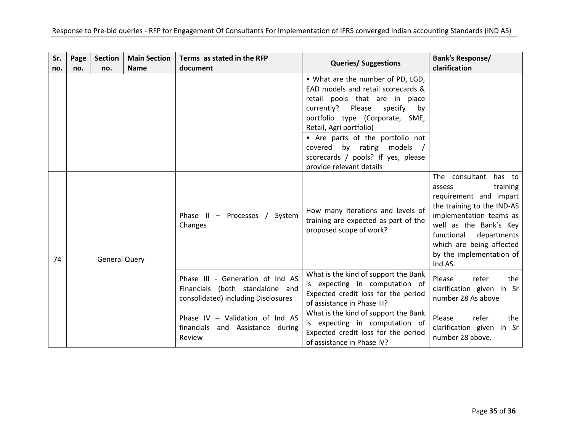| Sr.<br>no. | Page<br>no.          | <b>Section</b><br>no. | <b>Main Section</b><br><b>Name</b>       | Terms as stated in the RFP<br>document                                                                     | <b>Queries/ Suggestions</b>                                                                                                                                                                                                                                                                                                                           | <b>Bank's Response/</b><br>clarification                                                                                                                                                                                                                    |
|------------|----------------------|-----------------------|------------------------------------------|------------------------------------------------------------------------------------------------------------|-------------------------------------------------------------------------------------------------------------------------------------------------------------------------------------------------------------------------------------------------------------------------------------------------------------------------------------------------------|-------------------------------------------------------------------------------------------------------------------------------------------------------------------------------------------------------------------------------------------------------------|
|            |                      |                       |                                          |                                                                                                            | • What are the number of PD, LGD,<br>EAD models and retail scorecards &<br>retail pools that are in place<br>currently?<br>Please<br>specify<br>by<br>portfolio type (Corporate, SME,<br>Retail, Agri portfolio)<br>• Are parts of the portfolio not<br>covered by rating<br>models<br>scorecards / pools? If yes, please<br>provide relevant details |                                                                                                                                                                                                                                                             |
| 74         | <b>General Query</b> |                       | Phase II - Processes / System<br>Changes |                                                                                                            | How many iterations and levels of<br>training are expected as part of the<br>proposed scope of work?                                                                                                                                                                                                                                                  | The consultant<br>has to<br>training<br>assess<br>requirement and impart<br>the training to the IND-AS<br>implementation teams as<br>well as the Bank's Key<br>functional<br>departments<br>which are being affected<br>by the implementation of<br>Ind AS. |
|            |                      |                       |                                          | Phase III - Generation of Ind AS<br>Financials (both standalone and<br>consolidated) including Disclosures | What is the kind of support the Bank<br>is expecting in computation of<br>Expected credit loss for the period<br>of assistance in Phase III?                                                                                                                                                                                                          | Please<br>refer<br>the<br>clarification given in Sr<br>number 28 As above                                                                                                                                                                                   |
|            |                      |                       |                                          | Phase IV - Validation of Ind AS<br>financials<br>and Assistance during<br>Review                           | What is the kind of support the Bank<br>is expecting in computation of<br>Expected credit loss for the period<br>of assistance in Phase IV?                                                                                                                                                                                                           | Please<br>refer<br>the<br>clarification given in Sr<br>number 28 above.                                                                                                                                                                                     |